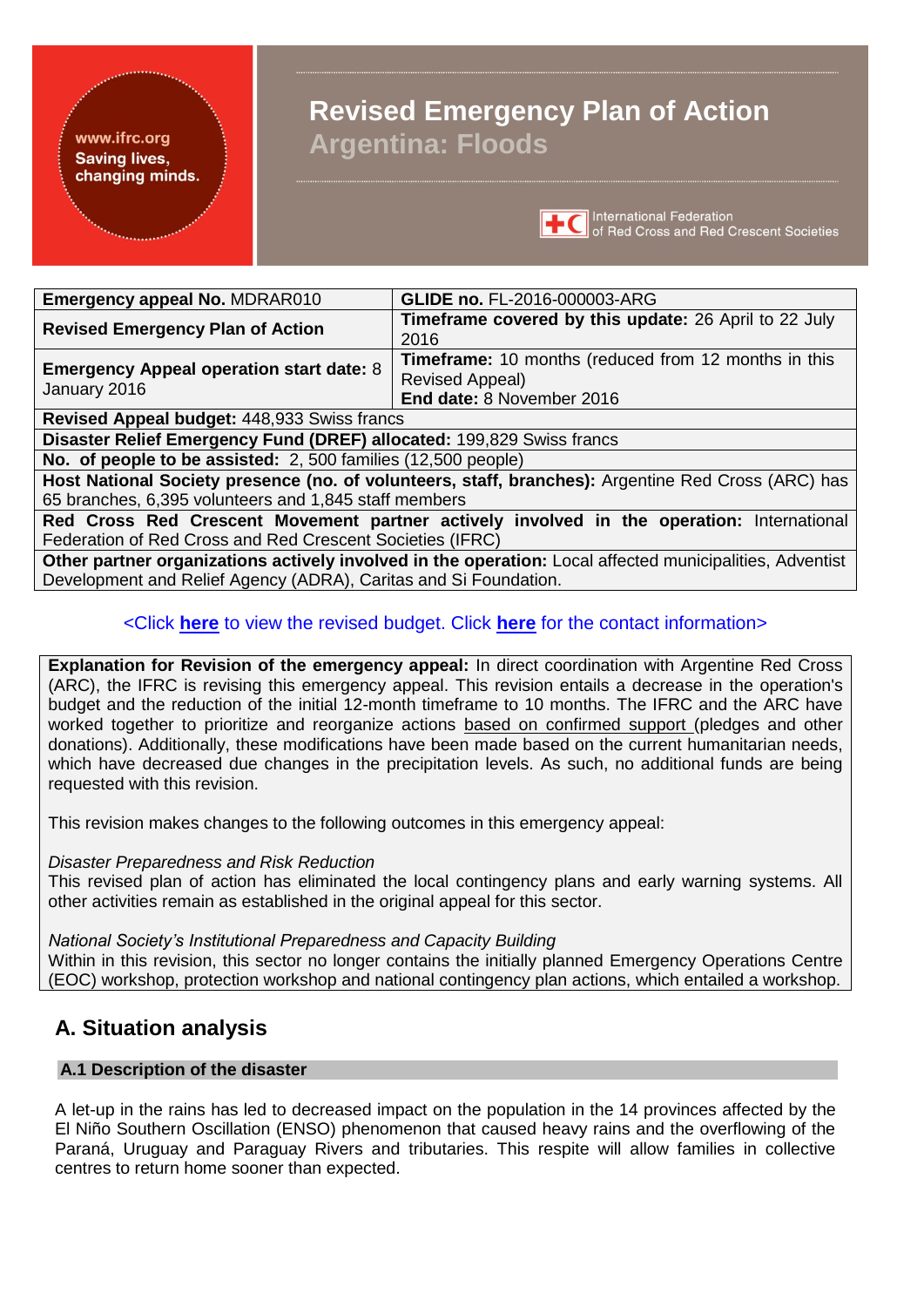#### www.ifrc.org **Saving lives,** changing minds.

# **Revised Emergency Plan of Action Argentina: Floods**



| <b>Emergency appeal No. MDRAR010</b>            | <b>GLIDE no. FL-2016-000003-ARG</b>                          |
|-------------------------------------------------|--------------------------------------------------------------|
|                                                 | <b>Timeframe covered by this update: 26 April to 22 July</b> |
| <b>Revised Emergency Plan of Action</b>         | 2016                                                         |
|                                                 | <b>Timeframe:</b> 10 months (reduced from 12 months in this  |
| <b>Emergency Appeal operation start date: 8</b> | Revised Appeal)                                              |
| January 2016                                    | End date: 8 November 2016                                    |
| Berriaged Ampeel burdenty 440,000 Curios frompo |                                                              |

**Revised Appeal budget:** 448,933 Swiss francs

**Disaster Relief Emergency Fund (DREF) allocated:** 199,829 Swiss francs

**No. of people to be assisted:** 2, 500 families (12,500 people)

**Host National Society presence (no. of volunteers, staff, branches):** Argentine Red Cross (ARC) has 65 branches, 6,395 volunteers and 1,845 staff members

**Red Cross Red Crescent Movement partner actively involved in the operation:** International Federation of Red Cross and Red Crescent Societies (IFRC)

**Other partner organizations actively involved in the operation:** Local affected municipalities, Adventist Development and Relief Agency (ADRA), Caritas and Si Foundation.

# <Click **[here](#page-23-0)** to view the revised budget. Click **[here](#page-21-0)** for the contact information>

**Explanation for Revision of the emergency appeal:** In direct coordination with Argentine Red Cross (ARC), the IFRC is revising this emergency appeal. This revision entails a decrease in the operation's budget and the reduction of the initial 12-month timeframe to 10 months. The IFRC and the ARC have worked together to prioritize and reorganize actions based on confirmed support (pledges and other donations). Additionally, these modifications have been made based on the current humanitarian needs, which have decreased due changes in the precipitation levels. As such, no additional funds are being requested with this revision.

This revision makes changes to the following outcomes in this emergency appeal:

*Disaster Preparedness and Risk Reduction*

This revised plan of action has eliminated the local contingency plans and early warning systems. All other activities remain as established in the original appeal for this sector.

*National Society's Institutional Preparedness and Capacity Building*

Within in this revision, this sector no longer contains the initially planned Emergency Operations Centre (EOC) workshop, protection workshop and national contingency plan actions, which entailed a workshop.

# **A. Situation analysis**

# **A.1 Description of the disaster**

A let-up in the rains has led to decreased impact on the population in the 14 provinces affected by the El Niño Southern Oscillation (ENSO) phenomenon that caused heavy rains and the overflowing of the Paraná, Uruguay and Paraguay Rivers and tributaries. This respite will allow families in collective centres to return home sooner than expected.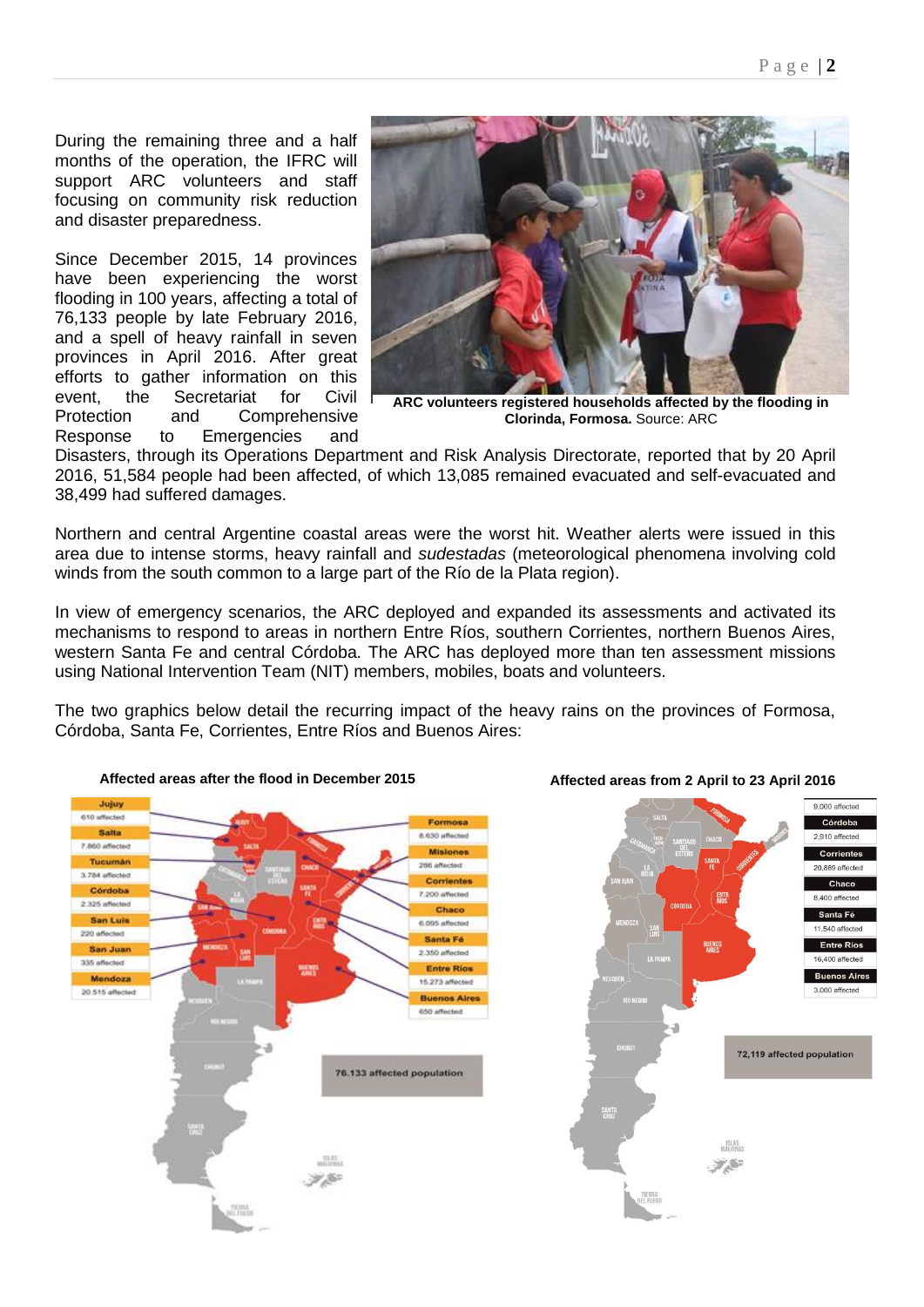During the remaining three and a half months of the operation, the IFRC will support ARC volunteers and staff focusing on community risk reduction and disaster preparedness.

Since December 2015, 14 provinces have been experiencing the worst flooding in 100 years, affecting a total of 76,133 people by late February 2016, and a spell of heavy rainfall in seven provinces in April 2016. After great efforts to gather information on this event, the Secretariat for Civil Protection and Comprehensive Response to Emergencies and



**ARC volunteers registered households affected by the flooding in Clorinda, Formosa.** Source: ARC

Disasters, through its Operations Department and Risk Analysis Directorate, reported that by 20 April 2016, 51,584 people had been affected, of which 13,085 remained evacuated and self-evacuated and 38,499 had suffered damages.

Northern and central Argentine coastal areas were the worst hit. Weather alerts were issued in this area due to intense storms, heavy rainfall and *sudestadas* (meteorological phenomena involving cold winds from the south common to a large part of the Río de la Plata region).

In view of emergency scenarios, the ARC deployed and expanded its assessments and activated its mechanisms to respond to areas in northern Entre Ríos, southern Corrientes, northern Buenos Aires, western Santa Fe and central Córdoba. The ARC has deployed more than ten assessment missions using National Intervention Team (NIT) members, mobiles, boats and volunteers.

The two graphics below detail the recurring impact of the heavy rains on the provinces of Formosa, Córdoba, Santa Fe, Corrientes, Entre Ríos and Buenos Aires:





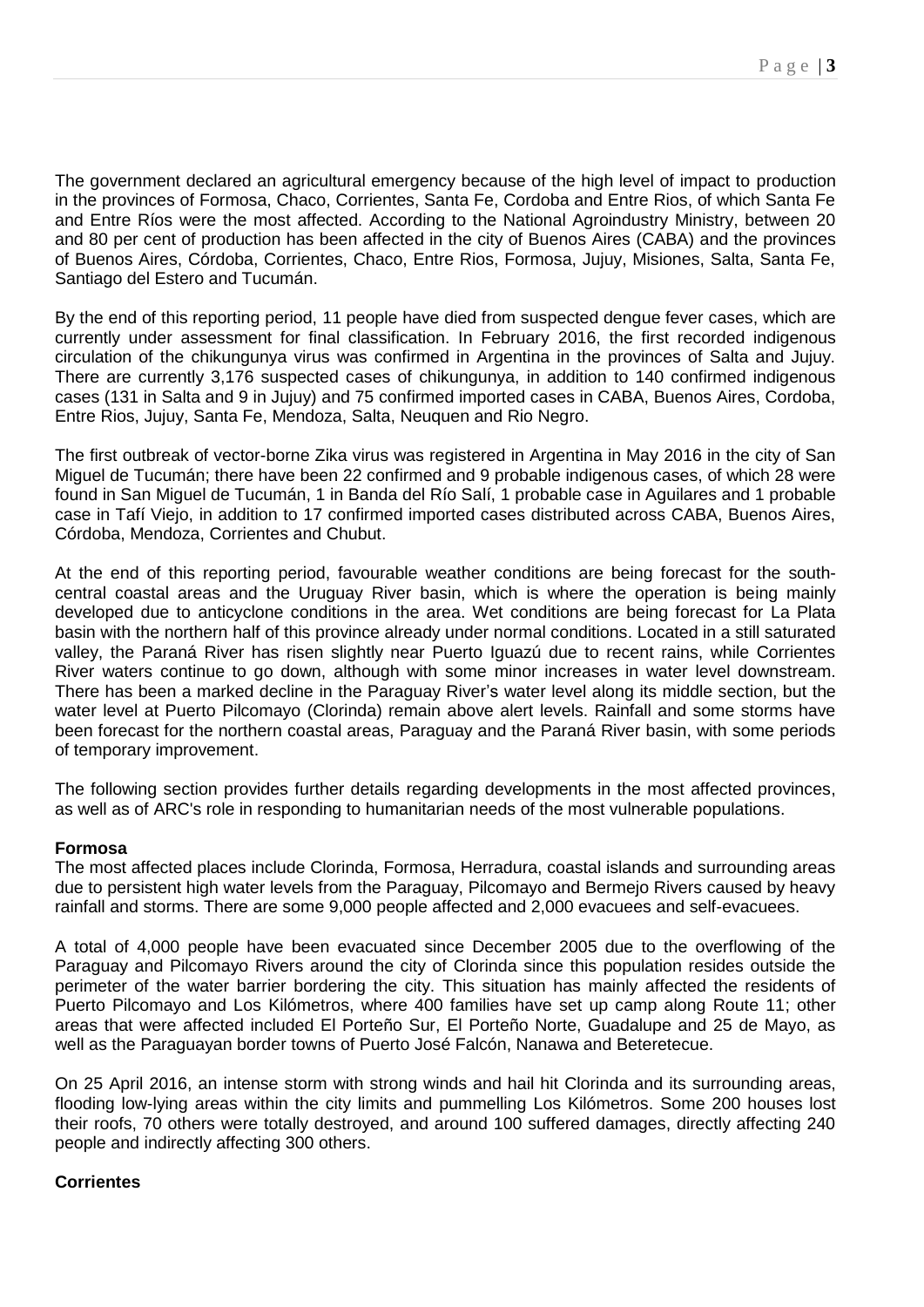The government declared an agricultural emergency because of the high level of impact to production in the provinces of Formosa, Chaco, Corrientes, Santa Fe, Cordoba and Entre Rios, of which Santa Fe and Entre Ríos were the most affected. According to the National Agroindustry Ministry, between 20 and 80 per cent of production has been affected in the city of Buenos Aires (CABA) and the provinces of Buenos Aires, Córdoba, Corrientes, Chaco, Entre Rios, Formosa, Jujuy, Misiones, Salta, Santa Fe, Santiago del Estero and Tucumán.

By the end of this reporting period, 11 people have died from suspected dengue fever cases, which are currently under assessment for final classification. In February 2016, the first recorded indigenous circulation of the chikungunya virus was confirmed in Argentina in the provinces of Salta and Jujuy. There are currently 3,176 suspected cases of chikungunya, in addition to 140 confirmed indigenous cases (131 in Salta and 9 in Jujuy) and 75 confirmed imported cases in CABA, Buenos Aires, Cordoba, Entre Rios, Jujuy, Santa Fe, Mendoza, Salta, Neuquen and Rio Negro.

The first outbreak of vector-borne Zika virus was registered in Argentina in May 2016 in the city of San Miguel de Tucumán; there have been 22 confirmed and 9 probable indigenous cases, of which 28 were found in San Miguel de Tucumán, 1 in Banda del Río Salí, 1 probable case in Aguilares and 1 probable case in Tafí Viejo, in addition to 17 confirmed imported cases distributed across CABA, Buenos Aires, Córdoba, Mendoza, Corrientes and Chubut.

At the end of this reporting period, favourable weather conditions are being forecast for the southcentral coastal areas and the Uruguay River basin, which is where the operation is being mainly developed due to anticyclone conditions in the area. Wet conditions are being forecast for La Plata basin with the northern half of this province already under normal conditions. Located in a still saturated valley, the Paraná River has risen slightly near Puerto Iguazú due to recent rains, while Corrientes River waters continue to go down, although with some minor increases in water level downstream. There has been a marked decline in the Paraguay River's water level along its middle section, but the water level at Puerto Pilcomayo (Clorinda) remain above alert levels. Rainfall and some storms have been forecast for the northern coastal areas, Paraguay and the Paraná River basin, with some periods of temporary improvement.

The following section provides further details regarding developments in the most affected provinces, as well as of ARC's role in responding to humanitarian needs of the most vulnerable populations.

# **Formosa**

The most affected places include Clorinda, Formosa, Herradura, coastal islands and surrounding areas due to persistent high water levels from the Paraguay, Pilcomayo and Bermejo Rivers caused by heavy rainfall and storms. There are some 9,000 people affected and 2,000 evacuees and self-evacuees.

A total of 4,000 people have been evacuated since December 2005 due to the overflowing of the Paraguay and Pilcomayo Rivers around the city of Clorinda since this population resides outside the perimeter of the water barrier bordering the city. This situation has mainly affected the residents of Puerto Pilcomayo and Los Kilómetros, where 400 families have set up camp along Route 11; other areas that were affected included El Porteño Sur, El Porteño Norte, Guadalupe and 25 de Mayo, as well as the Paraguayan border towns of Puerto José Falcón, Nanawa and Beteretecue.

On 25 April 2016, an intense storm with strong winds and hail hit Clorinda and its surrounding areas, flooding low-lying areas within the city limits and pummelling Los Kilómetros. Some 200 houses lost their roofs, 70 others were totally destroyed, and around 100 suffered damages, directly affecting 240 people and indirectly affecting 300 others.

# **Corrientes**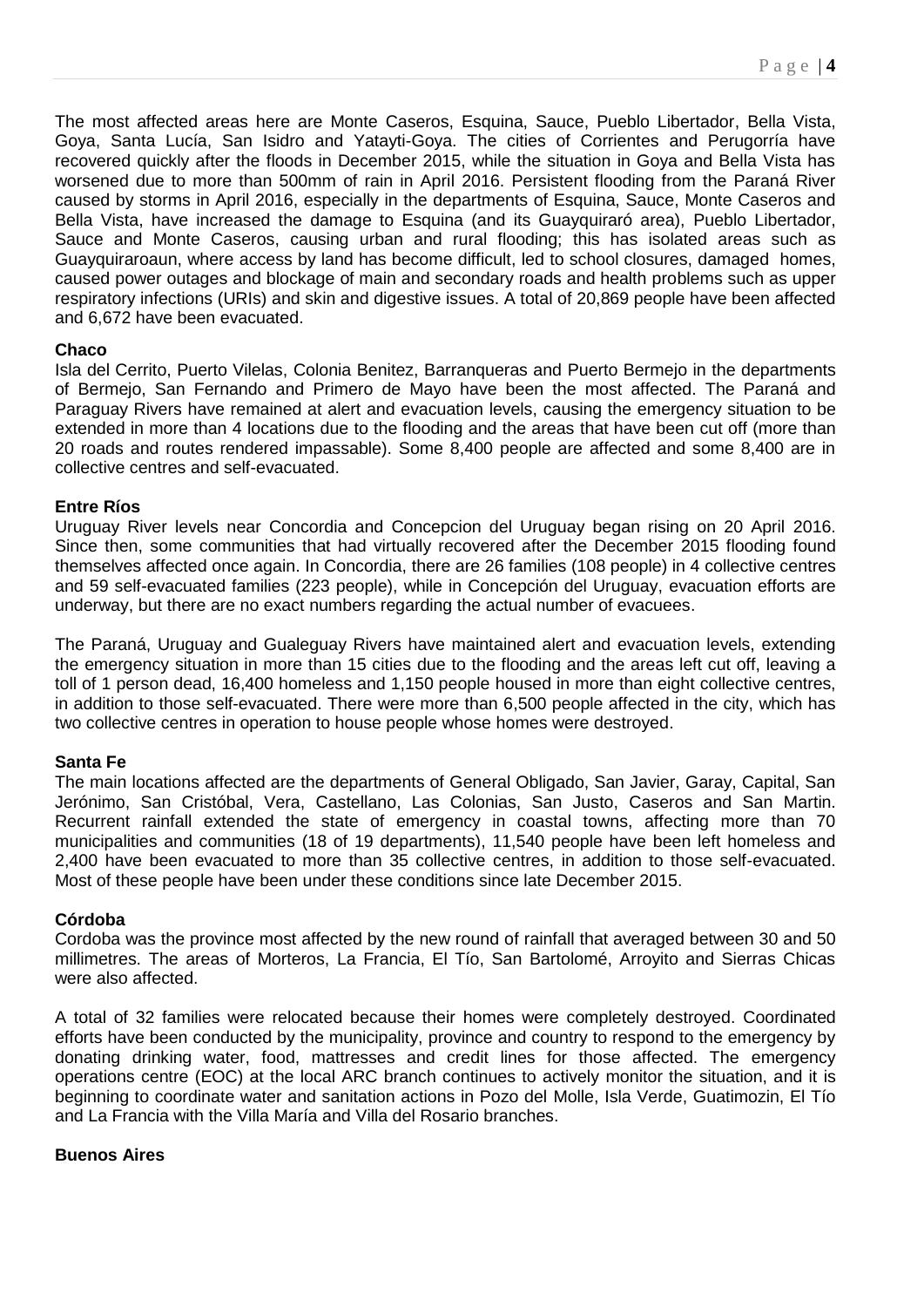The most affected areas here are Monte Caseros, Esquina, Sauce, Pueblo Libertador, Bella Vista, Goya, Santa Lucía, San Isidro and Yatayti-Goya. The cities of Corrientes and Perugorría have recovered quickly after the floods in December 2015, while the situation in Goya and Bella Vista has worsened due to more than 500mm of rain in April 2016. Persistent flooding from the Paraná River caused by storms in April 2016, especially in the departments of Esquina, Sauce, Monte Caseros and Bella Vista, have increased the damage to Esquina (and its Guayquiraró area), Pueblo Libertador, Sauce and Monte Caseros, causing urban and rural flooding; this has isolated areas such as Guayquiraroaun, where access by land has become difficult, led to school closures, damaged homes, caused power outages and blockage of main and secondary roads and health problems such as upper respiratory infections (URIs) and skin and digestive issues. A total of 20,869 people have been affected and 6,672 have been evacuated.

# **Chaco**

Isla del Cerrito, Puerto Vilelas, Colonia Benitez, Barranqueras and Puerto Bermejo in the departments of Bermejo, San Fernando and Primero de Mayo have been the most affected. The Paraná and Paraguay Rivers have remained at alert and evacuation levels, causing the emergency situation to be extended in more than 4 locations due to the flooding and the areas that have been cut off (more than 20 roads and routes rendered impassable). Some 8,400 people are affected and some 8,400 are in collective centres and self-evacuated.

# **Entre Ríos**

Uruguay River levels near Concordia and Concepcion del Uruguay began rising on 20 April 2016. Since then, some communities that had virtually recovered after the December 2015 flooding found themselves affected once again. In Concordia, there are 26 families (108 people) in 4 collective centres and 59 self-evacuated families (223 people), while in Concepción del Uruguay, evacuation efforts are underway, but there are no exact numbers regarding the actual number of evacuees.

The Paraná, Uruguay and Gualeguay Rivers have maintained alert and evacuation levels, extending the emergency situation in more than 15 cities due to the flooding and the areas left cut off, leaving a toll of 1 person dead, 16,400 homeless and 1,150 people housed in more than eight collective centres, in addition to those self-evacuated. There were more than 6,500 people affected in the city, which has two collective centres in operation to house people whose homes were destroyed.

# **Santa Fe**

The main locations affected are the departments of General Obligado, San Javier, Garay, Capital, San Jerónimo, San Cristóbal, Vera, Castellano, Las Colonias, San Justo, Caseros and San Martin. Recurrent rainfall extended the state of emergency in coastal towns, affecting more than 70 municipalities and communities (18 of 19 departments), 11,540 people have been left homeless and 2,400 have been evacuated to more than 35 collective centres, in addition to those self-evacuated. Most of these people have been under these conditions since late December 2015.

# **Córdoba**

Cordoba was the province most affected by the new round of rainfall that averaged between 30 and 50 millimetres. The areas of Morteros, La Francia, El Tío, San Bartolomé, Arroyito and Sierras Chicas were also affected.

A total of 32 families were relocated because their homes were completely destroyed. Coordinated efforts have been conducted by the municipality, province and country to respond to the emergency by donating drinking water, food, mattresses and credit lines for those affected. The emergency operations centre (EOC) at the local ARC branch continues to actively monitor the situation, and it is beginning to coordinate water and sanitation actions in Pozo del Molle, Isla Verde, Guatimozin, El Tío and La Francia with the Villa María and Villa del Rosario branches.

# **Buenos Aires**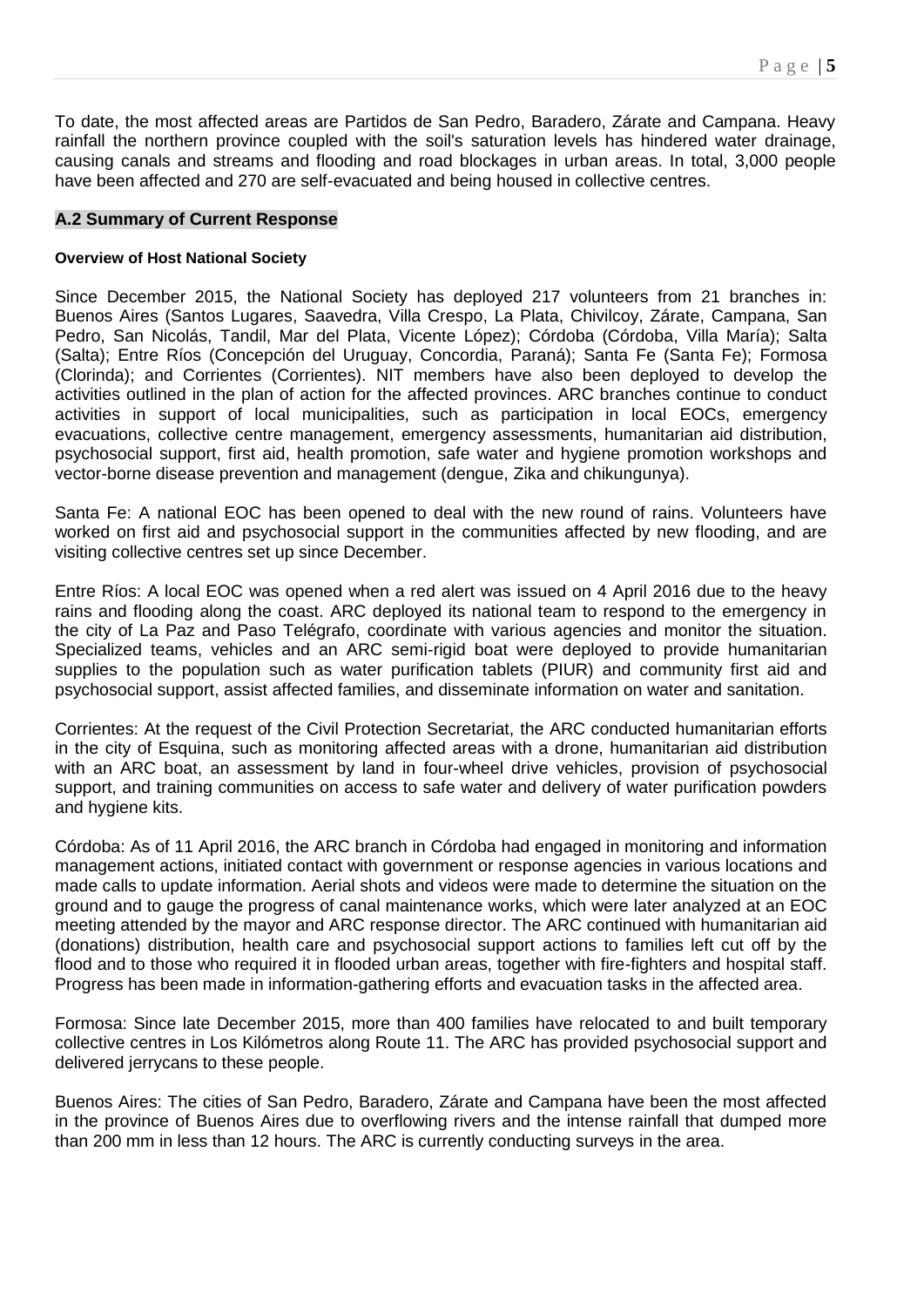To date, the most affected areas are Partidos de San Pedro, Baradero, Zárate and Campana. Heavy rainfall the northern province coupled with the soil's saturation levels has hindered water drainage, causing canals and streams and flooding and road blockages in urban areas. In total, 3,000 people have been affected and 270 are self-evacuated and being housed in collective centres.

### **A.2 Summary of Current Response**

#### **Overview of Host National Society**

Since December 2015, the National Society has deployed 217 volunteers from 21 branches in: Buenos Aires (Santos Lugares, Saavedra, Villa Crespo, La Plata, Chivilcoy, Zárate, Campana, San Pedro, San Nicolás, Tandil, Mar del Plata, Vicente López); Córdoba (Córdoba, Villa María); Salta (Salta); Entre Ríos (Concepción del Uruguay, Concordia, Paraná); Santa Fe (Santa Fe); Formosa (Clorinda); and Corrientes (Corrientes). NIT members have also been deployed to develop the activities outlined in the plan of action for the affected provinces. ARC branches continue to conduct activities in support of local municipalities, such as participation in local EOCs, emergency evacuations, collective centre management, emergency assessments, humanitarian aid distribution, psychosocial support, first aid, health promotion, safe water and hygiene promotion workshops and vector-borne disease prevention and management (dengue, Zika and chikungunya).

Santa Fe: A national EOC has been opened to deal with the new round of rains. Volunteers have worked on first aid and psychosocial support in the communities affected by new flooding, and are visiting collective centres set up since December.

Entre Ríos: A local EOC was opened when a red alert was issued on 4 April 2016 due to the heavy rains and flooding along the coast. ARC deployed its national team to respond to the emergency in the city of La Paz and Paso Telégrafo, coordinate with various agencies and monitor the situation. Specialized teams, vehicles and an ARC semi-rigid boat were deployed to provide humanitarian supplies to the population such as water purification tablets (PIUR) and community first aid and psychosocial support, assist affected families, and disseminate information on water and sanitation.

Corrientes: At the request of the Civil Protection Secretariat, the ARC conducted humanitarian efforts in the city of Esquina, such as monitoring affected areas with a drone, humanitarian aid distribution with an ARC boat, an assessment by land in four-wheel drive vehicles, provision of psychosocial support, and training communities on access to safe water and delivery of water purification powders and hygiene kits.

Córdoba: As of 11 April 2016, the ARC branch in Córdoba had engaged in monitoring and information management actions, initiated contact with government or response agencies in various locations and made calls to update information. Aerial shots and videos were made to determine the situation on the ground and to gauge the progress of canal maintenance works, which were later analyzed at an EOC meeting attended by the mayor and ARC response director. The ARC continued with humanitarian aid (donations) distribution, health care and psychosocial support actions to families left cut off by the flood and to those who required it in flooded urban areas, together with fire-fighters and hospital staff. Progress has been made in information-gathering efforts and evacuation tasks in the affected area.

Formosa: Since late December 2015, more than 400 families have relocated to and built temporary collective centres in Los Kilómetros along Route 11. The ARC has provided psychosocial support and delivered jerrycans to these people.

Buenos Aires: The cities of San Pedro, Baradero, Zárate and Campana have been the most affected in the province of Buenos Aires due to overflowing rivers and the intense rainfall that dumped more than 200 mm in less than 12 hours. The ARC is currently conducting surveys in the area.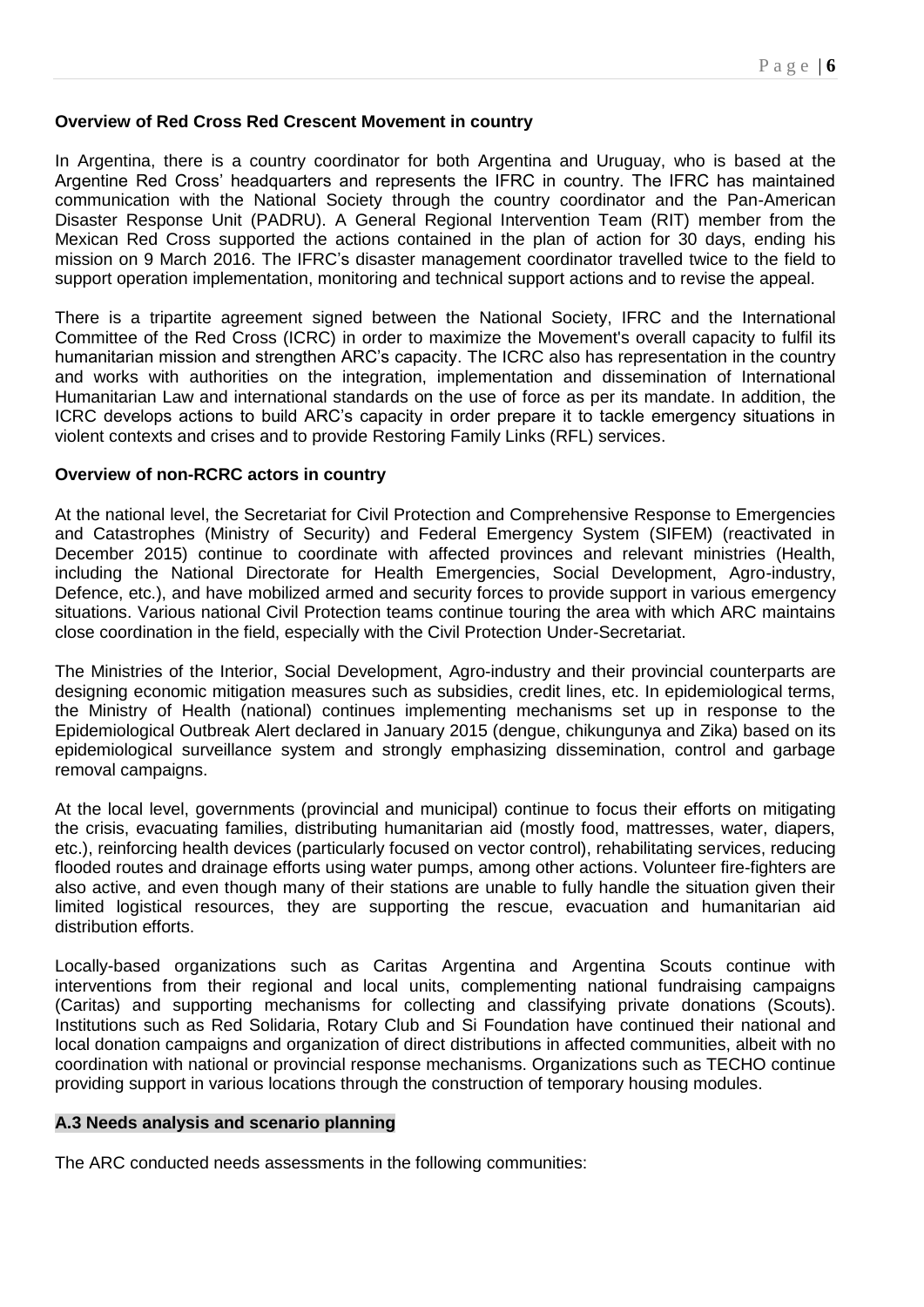# **Overview of Red Cross Red Crescent Movement in country**

In Argentina, there is a country coordinator for both Argentina and Uruguay, who is based at the Argentine Red Cross' headquarters and represents the IFRC in country. The IFRC has maintained communication with the National Society through the country coordinator and the Pan-American Disaster Response Unit (PADRU). A General Regional Intervention Team (RIT) member from the Mexican Red Cross supported the actions contained in the plan of action for 30 days, ending his mission on 9 March 2016. The IFRC's disaster management coordinator travelled twice to the field to support operation implementation, monitoring and technical support actions and to revise the appeal.

There is a tripartite agreement signed between the National Society, IFRC and the International Committee of the Red Cross (ICRC) in order to maximize the Movement's overall capacity to fulfil its humanitarian mission and strengthen ARC's capacity. The ICRC also has representation in the country and works with authorities on the integration, implementation and dissemination of International Humanitarian Law and international standards on the use of force as per its mandate. In addition, the ICRC develops actions to build ARC's capacity in order prepare it to tackle emergency situations in violent contexts and crises and to provide Restoring Family Links (RFL) services.

### **Overview of non-RCRC actors in country**

At the national level, the Secretariat for Civil Protection and Comprehensive Response to Emergencies and Catastrophes (Ministry of Security) and Federal Emergency System (SIFEM) (reactivated in December 2015) continue to coordinate with affected provinces and relevant ministries (Health, including the National Directorate for Health Emergencies, Social Development, Agro-industry, Defence, etc.), and have mobilized armed and security forces to provide support in various emergency situations. Various national Civil Protection teams continue touring the area with which ARC maintains close coordination in the field, especially with the Civil Protection Under-Secretariat.

The Ministries of the Interior, Social Development, Agro-industry and their provincial counterparts are designing economic mitigation measures such as subsidies, credit lines, etc. In epidemiological terms, the Ministry of Health (national) continues implementing mechanisms set up in response to the Epidemiological Outbreak Alert declared in January 2015 (dengue, chikungunya and Zika) based on its epidemiological surveillance system and strongly emphasizing dissemination, control and garbage removal campaigns.

At the local level, governments (provincial and municipal) continue to focus their efforts on mitigating the crisis, evacuating families, distributing humanitarian aid (mostly food, mattresses, water, diapers, etc.), reinforcing health devices (particularly focused on vector control), rehabilitating services, reducing flooded routes and drainage efforts using water pumps, among other actions. Volunteer fire-fighters are also active, and even though many of their stations are unable to fully handle the situation given their limited logistical resources, they are supporting the rescue, evacuation and humanitarian aid distribution efforts.

Locally-based organizations such as Caritas Argentina and Argentina Scouts continue with interventions from their regional and local units, complementing national fundraising campaigns (Caritas) and supporting mechanisms for collecting and classifying private donations (Scouts). Institutions such as Red Solidaria, Rotary Club and Si Foundation have continued their national and local donation campaigns and organization of direct distributions in affected communities, albeit with no coordination with national or provincial response mechanisms. Organizations such as TECHO continue providing support in various locations through the construction of temporary housing modules.

#### **A.3 Needs analysis and scenario planning**

The ARC conducted needs assessments in the following communities: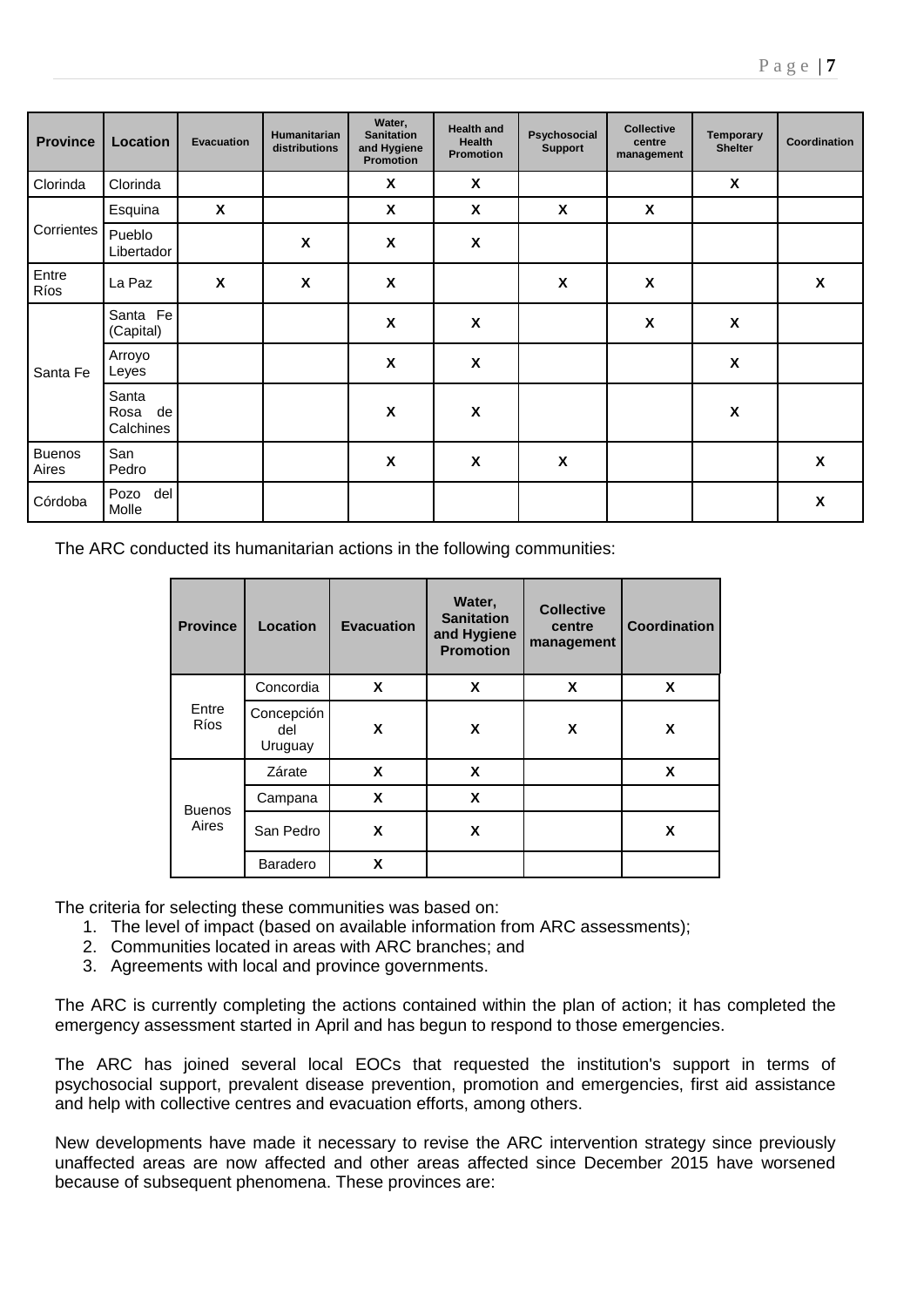| <b>Province</b>        | Location                         | <b>Evacuation</b> | <b>Humanitarian</b><br>distributions | Water,<br><b>Sanitation</b><br>and Hygiene<br><b>Promotion</b> | <b>Health and</b><br>Health<br>Promotion | Psychosocial<br>Support | <b>Collective</b><br>centre<br>management | Temporary<br><b>Shelter</b> | Coordination       |
|------------------------|----------------------------------|-------------------|--------------------------------------|----------------------------------------------------------------|------------------------------------------|-------------------------|-------------------------------------------|-----------------------------|--------------------|
| Clorinda               | Clorinda                         |                   |                                      | $\boldsymbol{\mathsf{X}}$                                      | X                                        |                         |                                           | $\boldsymbol{\mathsf{X}}$   |                    |
|                        | Esquina                          | X                 |                                      | $\pmb{\mathsf{X}}$                                             | $\pmb{\mathsf{X}}$                       | $\pmb{\mathsf{X}}$      | $\pmb{\chi}$                              |                             |                    |
| Corrientes             | Pueblo<br>Libertador             |                   | X                                    | X                                                              | $\pmb{\mathsf{X}}$                       |                         |                                           |                             |                    |
| Entre<br>Ríos          | La Paz                           | X                 | $\boldsymbol{\mathsf{x}}$            | $\boldsymbol{\mathsf{X}}$                                      |                                          | $\pmb{\mathsf{X}}$      | $\pmb{\chi}$                              |                             | X                  |
|                        | Santa Fe<br>(Capital)            |                   |                                      | X                                                              | $\boldsymbol{\mathsf{x}}$                |                         | $\pmb{\mathsf{X}}$                        | $\pmb{\mathsf{X}}$          |                    |
| Santa Fe               | Arroyo<br>Leyes                  |                   |                                      | X                                                              | X                                        |                         |                                           | $\pmb{\mathsf{X}}$          |                    |
|                        | Santa<br>de<br>Rosa<br>Calchines |                   |                                      | $\boldsymbol{\mathsf{x}}$                                      | $\boldsymbol{\mathsf{x}}$                |                         |                                           | X                           |                    |
| <b>Buenos</b><br>Aires | San<br>Pedro                     |                   |                                      | X                                                              | X                                        | X                       |                                           |                             | X                  |
| Córdoba                | Pozo<br>del<br>Molle             |                   |                                      |                                                                |                                          |                         |                                           |                             | $\pmb{\mathsf{X}}$ |

The ARC conducted its humanitarian actions in the following communities:

| <b>Province</b>      | Location                     | <b>Evacuation</b> | Water,<br><b>Sanitation</b><br>and Hygiene<br><b>Promotion</b> | <b>Collective</b><br>centre<br>management | Coordination |
|----------------------|------------------------------|-------------------|----------------------------------------------------------------|-------------------------------------------|--------------|
|                      | Concordia                    | X                 | X                                                              | X                                         | X            |
| Entre<br><b>Ríos</b> | Concepción<br>del<br>Uruguay | X                 | X                                                              | X                                         | X            |
|                      | Zárate                       | X                 | X                                                              |                                           | X            |
| <b>Buenos</b>        | Campana                      | X                 | X                                                              |                                           |              |
| Aires                | San Pedro                    | X                 | X                                                              |                                           | X            |
|                      | Baradero                     | X                 |                                                                |                                           |              |

The criteria for selecting these communities was based on:

- 1. The level of impact (based on available information from ARC assessments);
- 2. Communities located in areas with ARC branches; and
- 3. Agreements with local and province governments.

The ARC is currently completing the actions contained within the plan of action; it has completed the emergency assessment started in April and has begun to respond to those emergencies.

The ARC has joined several local EOCs that requested the institution's support in terms of psychosocial support, prevalent disease prevention, promotion and emergencies, first aid assistance and help with collective centres and evacuation efforts, among others.

New developments have made it necessary to revise the ARC intervention strategy since previously unaffected areas are now affected and other areas affected since December 2015 have worsened because of subsequent phenomena. These provinces are: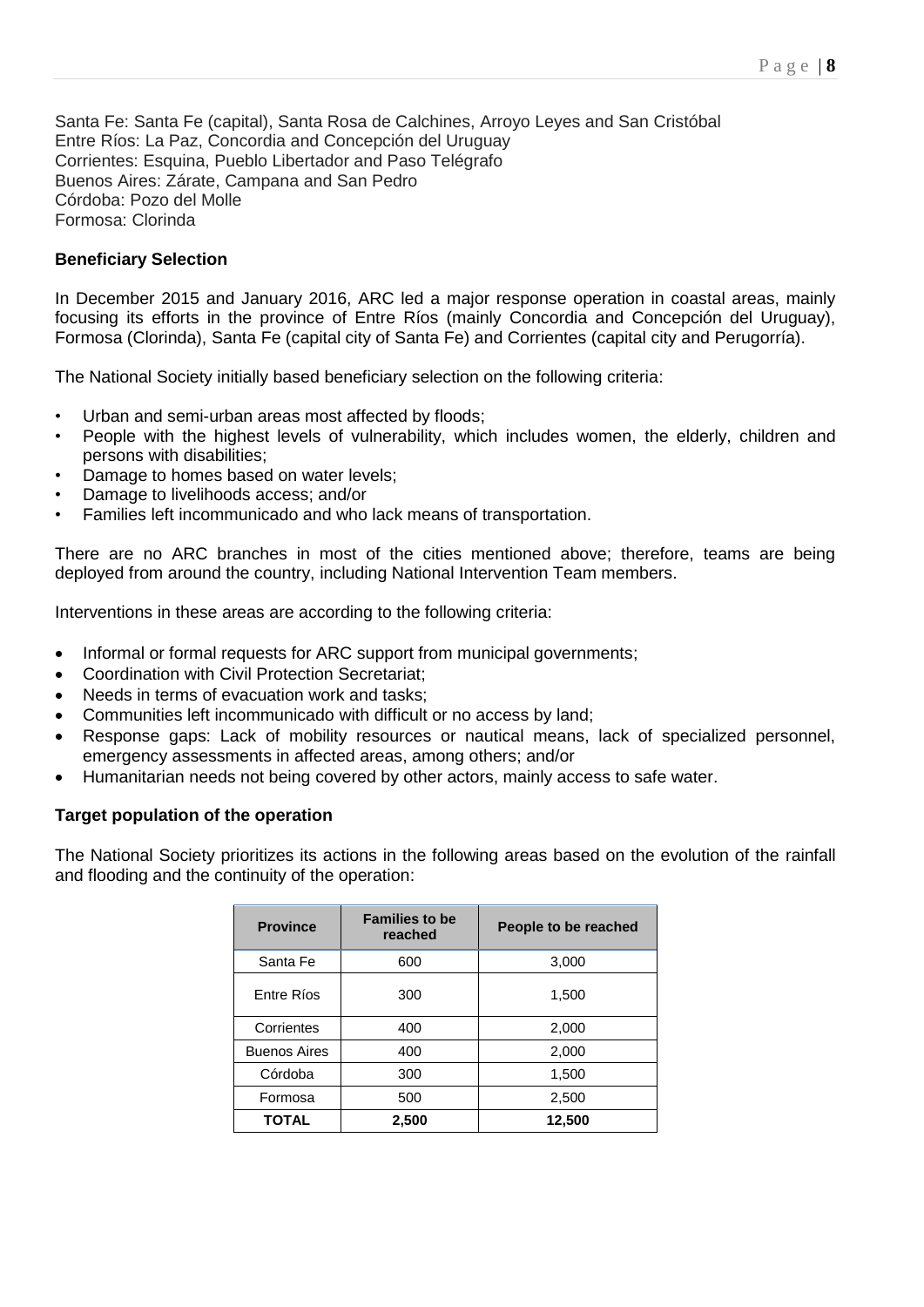Santa Fe: Santa Fe (capital), Santa Rosa de Calchines, Arroyo Leyes and San Cristóbal Entre Ríos: La Paz, Concordia and Concepción del Uruguay Corrientes: Esquina, Pueblo Libertador and Paso Telégrafo Buenos Aires: Zárate, Campana and San Pedro Córdoba: Pozo del Molle Formosa: Clorinda

# **Beneficiary Selection**

In December 2015 and January 2016, ARC led a major response operation in coastal areas, mainly focusing its efforts in the province of Entre Ríos (mainly Concordia and Concepción del Uruguay), Formosa (Clorinda), Santa Fe (capital city of Santa Fe) and Corrientes (capital city and Perugorría).

The National Society initially based beneficiary selection on the following criteria:

- Urban and semi-urban areas most affected by floods;
- People with the highest levels of vulnerability, which includes women, the elderly, children and persons with disabilities;
- Damage to homes based on water levels;
- Damage to livelihoods access; and/or
- Families left incommunicado and who lack means of transportation.

There are no ARC branches in most of the cities mentioned above; therefore, teams are being deployed from around the country, including National Intervention Team members.

Interventions in these areas are according to the following criteria:

- Informal or formal requests for ARC support from municipal governments;
- Coordination with Civil Protection Secretariat;
- Needs in terms of evacuation work and tasks;
- Communities left incommunicado with difficult or no access by land;
- Response gaps: Lack of mobility resources or nautical means, lack of specialized personnel, emergency assessments in affected areas, among others; and/or
- Humanitarian needs not being covered by other actors, mainly access to safe water.

# **Target population of the operation**

The National Society prioritizes its actions in the following areas based on the evolution of the rainfall and flooding and the continuity of the operation:

| <b>Province</b>     | <b>Families to be</b><br>reached | People to be reached |  |  |
|---------------------|----------------------------------|----------------------|--|--|
| Santa Fe            | 600                              | 3,000                |  |  |
| Entre Ríos          | 1,500<br>300                     |                      |  |  |
| Corrientes          | 400                              | 2,000                |  |  |
| <b>Buenos Aires</b> | 400                              | 2,000                |  |  |
| Córdoba             | 300                              | 1,500                |  |  |
| Formosa             | 500                              | 2,500                |  |  |
| <b>TOTAL</b>        | 2,500                            | 12,500               |  |  |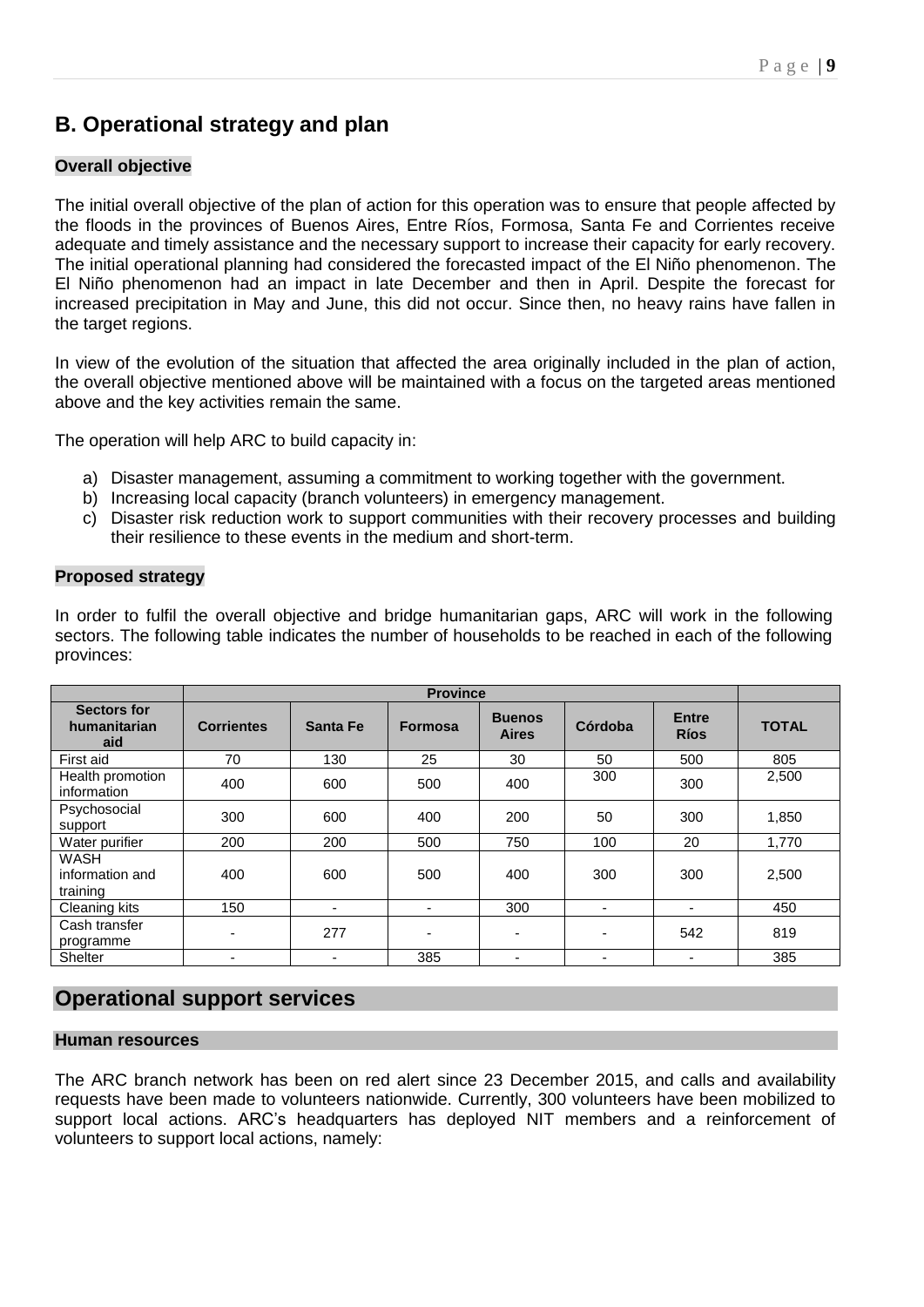# **B. Operational strategy and plan**

# **Overall objective**

The initial overall objective of the plan of action for this operation was to ensure that people affected by the floods in the provinces of Buenos Aires, Entre Ríos, Formosa, Santa Fe and Corrientes receive adequate and timely assistance and the necessary support to increase their capacity for early recovery. The initial operational planning had considered the forecasted impact of the El Niño phenomenon. The El Niño phenomenon had an impact in late December and then in April. Despite the forecast for increased precipitation in May and June, this did not occur. Since then, no heavy rains have fallen in the target regions.

In view of the evolution of the situation that affected the area originally included in the plan of action, the overall objective mentioned above will be maintained with a focus on the targeted areas mentioned above and the key activities remain the same.

The operation will help ARC to build capacity in:

- a) Disaster management, assuming a commitment to working together with the government.
- b) Increasing local capacity (branch volunteers) in emergency management.
- c) Disaster risk reduction work to support communities with their recovery processes and building their resilience to these events in the medium and short-term.

# **Proposed strategy**

In order to fulfil the overall objective and bridge humanitarian gaps, ARC will work in the following sectors. The following table indicates the number of households to be reached in each of the following provinces:

|                                           |                          | <b>Province</b> |                |                               |         |                             |              |  |  |
|-------------------------------------------|--------------------------|-----------------|----------------|-------------------------------|---------|-----------------------------|--------------|--|--|
| <b>Sectors for</b><br>humanitarian<br>aid | <b>Corrientes</b>        | Santa Fe        | <b>Formosa</b> | <b>Buenos</b><br><b>Aires</b> | Córdoba | <b>Entre</b><br><b>Ríos</b> | <b>TOTAL</b> |  |  |
| First aid                                 | 70                       | 130             | 25             | 30                            | 50      | 500                         | 805          |  |  |
| Health promotion<br>information           | 400                      | 600             | 500            | 400                           | 300     | 300                         | 2,500        |  |  |
| Psychosocial<br>support                   | 300                      | 600             | 400            | 200                           | 50      | 300                         | 1,850        |  |  |
| Water purifier                            | 200                      | 200             | 500            | 750                           | 100     | 20                          | 1,770        |  |  |
| WASH<br>information and<br>training       | 400                      | 600             | 500            | 400                           | 300     | 300                         | 2,500        |  |  |
| Cleaning kits                             | 150                      | ٠               |                | 300                           | ۰       | $\overline{\phantom{a}}$    | 450          |  |  |
| Cash transfer<br>programme                | $\overline{\phantom{0}}$ | 277             |                | ٠                             | ۰       | 542                         | 819          |  |  |
| <b>Shelter</b>                            | ۰                        | ۰               | 385            | ٠                             | ٠       | $\overline{\phantom{0}}$    | 385          |  |  |

# **Operational support services**

#### **Human resources**

The ARC branch network has been on red alert since 23 December 2015, and calls and availability requests have been made to volunteers nationwide. Currently, 300 volunteers have been mobilized to support local actions. ARC's headquarters has deployed NIT members and a reinforcement of volunteers to support local actions, namely: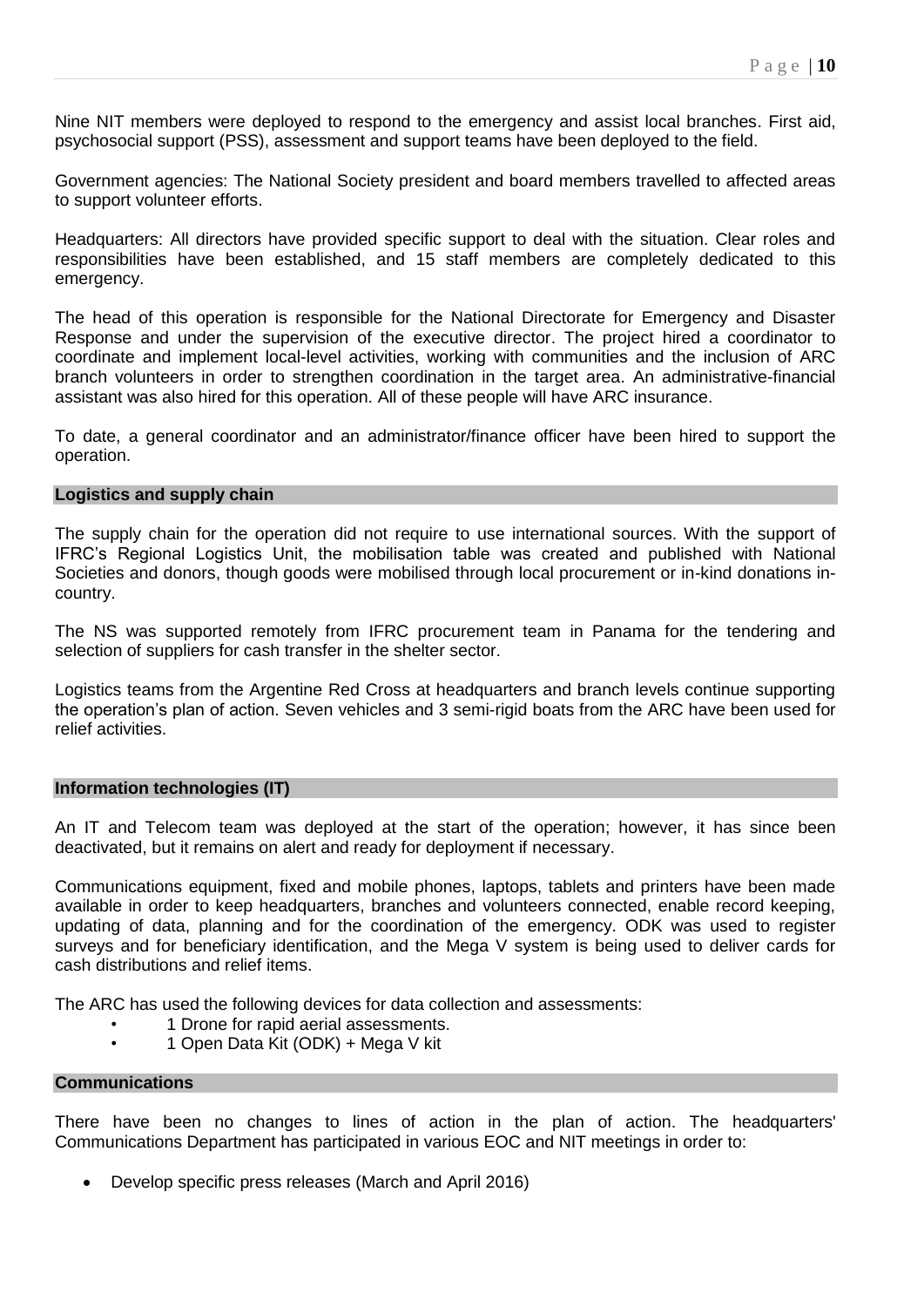Nine NIT members were deployed to respond to the emergency and assist local branches. First aid, psychosocial support (PSS), assessment and support teams have been deployed to the field.

Government agencies: The National Society president and board members travelled to affected areas to support volunteer efforts.

Headquarters: All directors have provided specific support to deal with the situation. Clear roles and responsibilities have been established, and 15 staff members are completely dedicated to this emergency.

The head of this operation is responsible for the National Directorate for Emergency and Disaster Response and under the supervision of the executive director. The project hired a coordinator to coordinate and implement local-level activities, working with communities and the inclusion of ARC branch volunteers in order to strengthen coordination in the target area. An administrative-financial assistant was also hired for this operation. All of these people will have ARC insurance.

To date, a general coordinator and an administrator/finance officer have been hired to support the operation.

#### **Logistics and supply chain**

The supply chain for the operation did not require to use international sources. With the support of IFRC's Regional Logistics Unit, the mobilisation table was created and published with National Societies and donors, though goods were mobilised through local procurement or in-kind donations incountry.

The NS was supported remotely from IFRC procurement team in Panama for the tendering and selection of suppliers for cash transfer in the shelter sector.

Logistics teams from the Argentine Red Cross at headquarters and branch levels continue supporting the operation's plan of action. Seven vehicles and 3 semi-rigid boats from the ARC have been used for relief activities.

#### **Information technologies (IT)**

An IT and Telecom team was deployed at the start of the operation; however, it has since been deactivated, but it remains on alert and ready for deployment if necessary.

Communications equipment, fixed and mobile phones, laptops, tablets and printers have been made available in order to keep headquarters, branches and volunteers connected, enable record keeping, updating of data, planning and for the coordination of the emergency. ODK was used to register surveys and for beneficiary identification, and the Mega V system is being used to deliver cards for cash distributions and relief items.

The ARC has used the following devices for data collection and assessments:

- 1 Drone for rapid aerial assessments.
- 1 Open Data Kit (ODK) + Mega V kit

#### **Communications**

There have been no changes to lines of action in the plan of action. The headquarters' Communications Department has participated in various EOC and NIT meetings in order to:

Develop specific press releases (March and April 2016)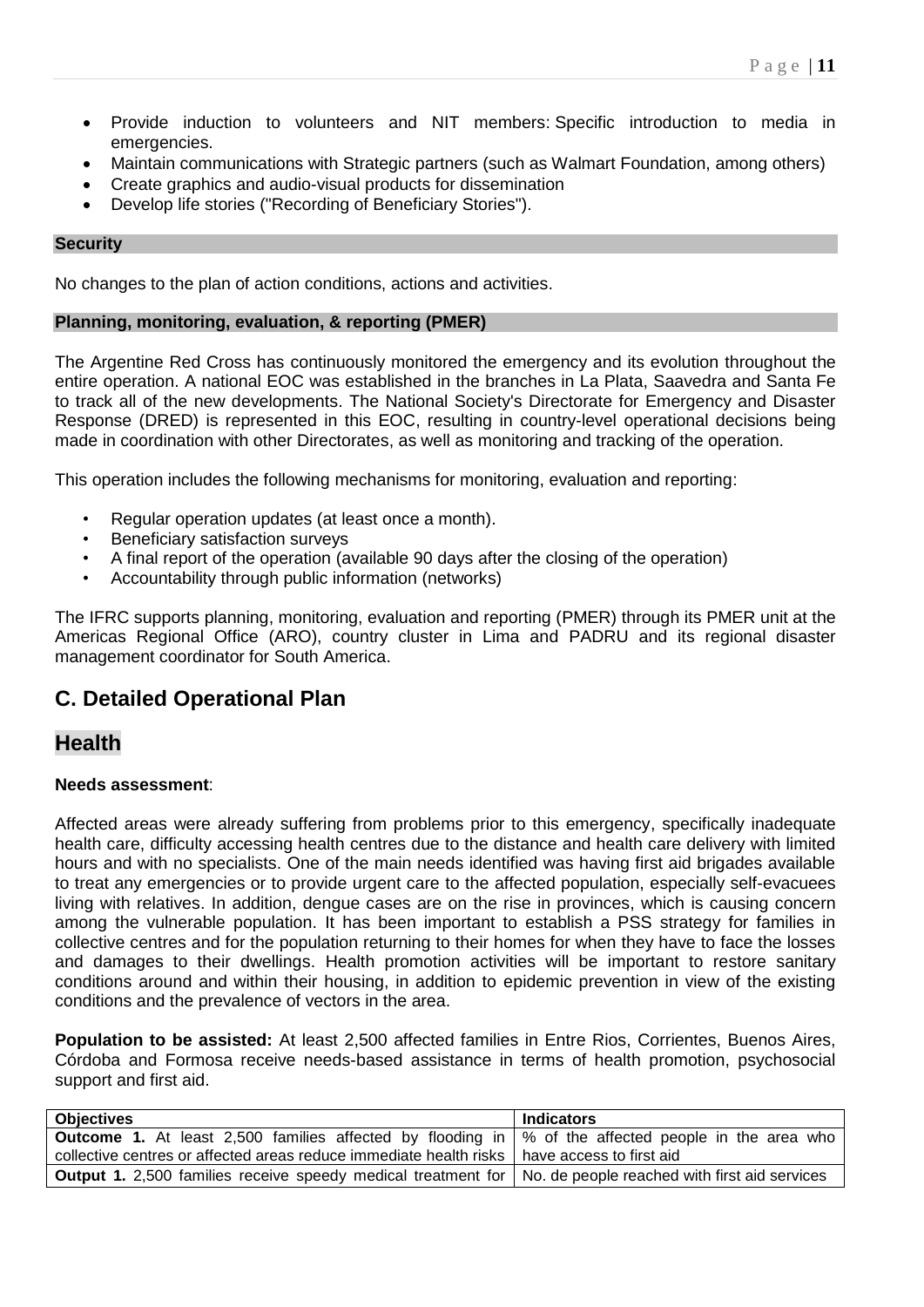- Provide induction to volunteers and NIT members: Specific introduction to media in emergencies.
- Maintain communications with Strategic partners (such as Walmart Foundation, among others)
- Create graphics and audio-visual products for dissemination
- Develop life stories ("Recording of Beneficiary Stories").

### **Security**

No changes to the plan of action conditions, actions and activities.

# **Planning, monitoring, evaluation, & reporting (PMER)**

The Argentine Red Cross has continuously monitored the emergency and its evolution throughout the entire operation. A national EOC was established in the branches in La Plata, Saavedra and Santa Fe to track all of the new developments. The National Society's Directorate for Emergency and Disaster Response (DRED) is represented in this EOC, resulting in country-level operational decisions being made in coordination with other Directorates, as well as monitoring and tracking of the operation.

This operation includes the following mechanisms for monitoring, evaluation and reporting:

- Regular operation updates (at least once a month).
- Beneficiary satisfaction surveys
- A final report of the operation (available 90 days after the closing of the operation)
- Accountability through public information (networks)

The IFRC supports planning, monitoring, evaluation and reporting (PMER) through its PMER unit at the Americas Regional Office (ARO), country cluster in Lima and PADRU and its regional disaster management coordinator for South America.

# **C. Detailed Operational Plan**

# **Health**

# **Needs assessment**:

Affected areas were already suffering from problems prior to this emergency, specifically inadequate health care, difficulty accessing health centres due to the distance and health care delivery with limited hours and with no specialists. One of the main needs identified was having first aid brigades available to treat any emergencies or to provide urgent care to the affected population, especially self-evacuees living with relatives. In addition, dengue cases are on the rise in provinces, which is causing concern among the vulnerable population. It has been important to establish a PSS strategy for families in collective centres and for the population returning to their homes for when they have to face the losses and damages to their dwellings. Health promotion activities will be important to restore sanitary conditions around and within their housing, in addition to epidemic prevention in view of the existing conditions and the prevalence of vectors in the area.

**Population to be assisted:** At least 2,500 affected families in Entre Rios, Corrientes, Buenos Aires, Córdoba and Formosa receive needs-based assistance in terms of health promotion, psychosocial support and first aid.

| <b>Objectives</b>                                                                                                    | <b>Indicators</b> |
|----------------------------------------------------------------------------------------------------------------------|-------------------|
| <b>Outcome 1.</b> At least 2,500 families affected by flooding in $\%$ of the affected people in the area who        |                   |
| collective centres or affected areas reduce immediate health risks   have access to first aid                        |                   |
| <b>Output 1.</b> 2,500 families receive speedy medical treatment for   No. de people reached with first aid services |                   |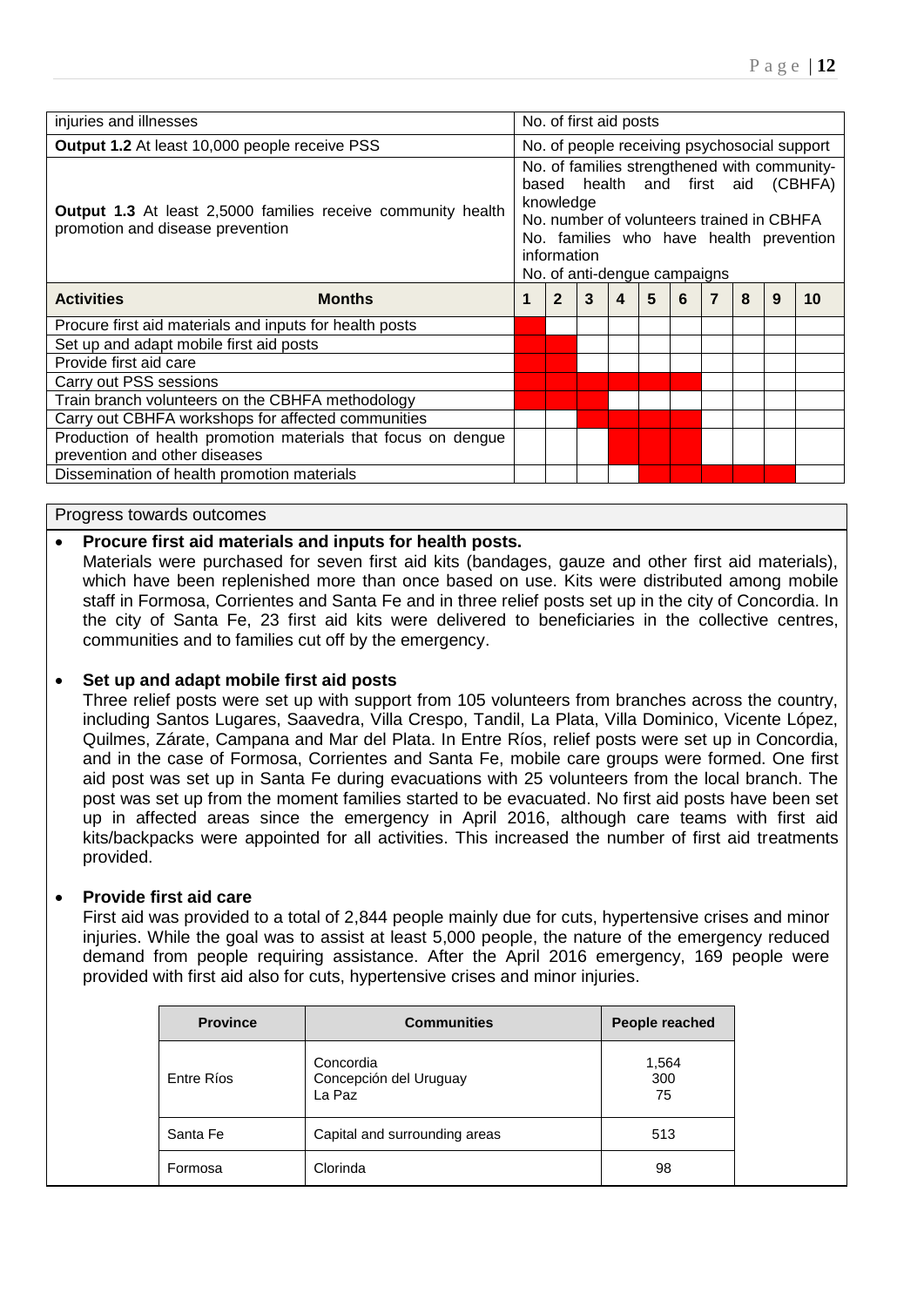| No. of first aid posts                                                                                                                                                                                                                                                                                        |   |   |   |   |  |   |   |                                              |
|---------------------------------------------------------------------------------------------------------------------------------------------------------------------------------------------------------------------------------------------------------------------------------------------------------------|---|---|---|---|--|---|---|----------------------------------------------|
|                                                                                                                                                                                                                                                                                                               |   |   |   |   |  |   |   |                                              |
| No. of families strengthened with community-<br>based health and first aid (CBHFA)<br>knowledge<br><b>Output 1.3</b> At least 2,5000 families receive community health<br>No. number of volunteers trained in CBHFA<br>No. families who have health prevention<br>information<br>No. of anti-dengue campaigns |   |   |   |   |  |   |   |                                              |
| $\overline{2}$                                                                                                                                                                                                                                                                                                | 3 | 4 | 5 | 6 |  | 8 | 9 | 10                                           |
|                                                                                                                                                                                                                                                                                                               |   |   |   |   |  |   |   |                                              |
|                                                                                                                                                                                                                                                                                                               |   |   |   |   |  |   |   |                                              |
|                                                                                                                                                                                                                                                                                                               |   |   |   |   |  |   |   |                                              |
|                                                                                                                                                                                                                                                                                                               |   |   |   |   |  |   |   |                                              |
|                                                                                                                                                                                                                                                                                                               |   |   |   |   |  |   |   |                                              |
|                                                                                                                                                                                                                                                                                                               |   |   |   |   |  |   |   |                                              |
|                                                                                                                                                                                                                                                                                                               |   |   |   |   |  |   |   |                                              |
|                                                                                                                                                                                                                                                                                                               |   |   |   |   |  |   |   |                                              |
|                                                                                                                                                                                                                                                                                                               |   |   |   |   |  |   |   |                                              |
|                                                                                                                                                                                                                                                                                                               |   |   |   |   |  |   |   | No. of people receiving psychosocial support |

#### Progress towards outcomes

### **Procure first aid materials and inputs for health posts.**

Materials were purchased for seven first aid kits (bandages, gauze and other first aid materials), which have been replenished more than once based on use. Kits were distributed among mobile staff in Formosa, Corrientes and Santa Fe and in three relief posts set up in the city of Concordia. In the city of Santa Fe, 23 first aid kits were delivered to beneficiaries in the collective centres, communities and to families cut off by the emergency.

#### **Set up and adapt mobile first aid posts**

Three relief posts were set up with support from 105 volunteers from branches across the country, including Santos Lugares, Saavedra, Villa Crespo, Tandil, La Plata, Villa Dominico, Vicente López, Quilmes, Zárate, Campana and Mar del Plata. In Entre Ríos, relief posts were set up in Concordia, and in the case of Formosa, Corrientes and Santa Fe, mobile care groups were formed. One first aid post was set up in Santa Fe during evacuations with 25 volunteers from the local branch. The post was set up from the moment families started to be evacuated. No first aid posts have been set up in affected areas since the emergency in April 2016, although care teams with first aid kits/backpacks were appointed for all activities. This increased the number of first aid treatments provided.

#### **Provide first aid care**

First aid was provided to a total of 2,844 people mainly due for cuts, hypertensive crises and minor injuries. While the goal was to assist at least 5,000 people, the nature of the emergency reduced demand from people requiring assistance. After the April 2016 emergency, 169 people were provided with first aid also for cuts, hypertensive crises and minor injuries.

| <b>Province</b> | <b>Communities</b>                            | People reached     |
|-----------------|-----------------------------------------------|--------------------|
| Entre Ríos      | Concordia<br>Concepción del Uruguay<br>La Paz | 1,564<br>300<br>75 |
| Santa Fe        | Capital and surrounding areas                 | 513                |
| Formosa         | Clorinda                                      | 98                 |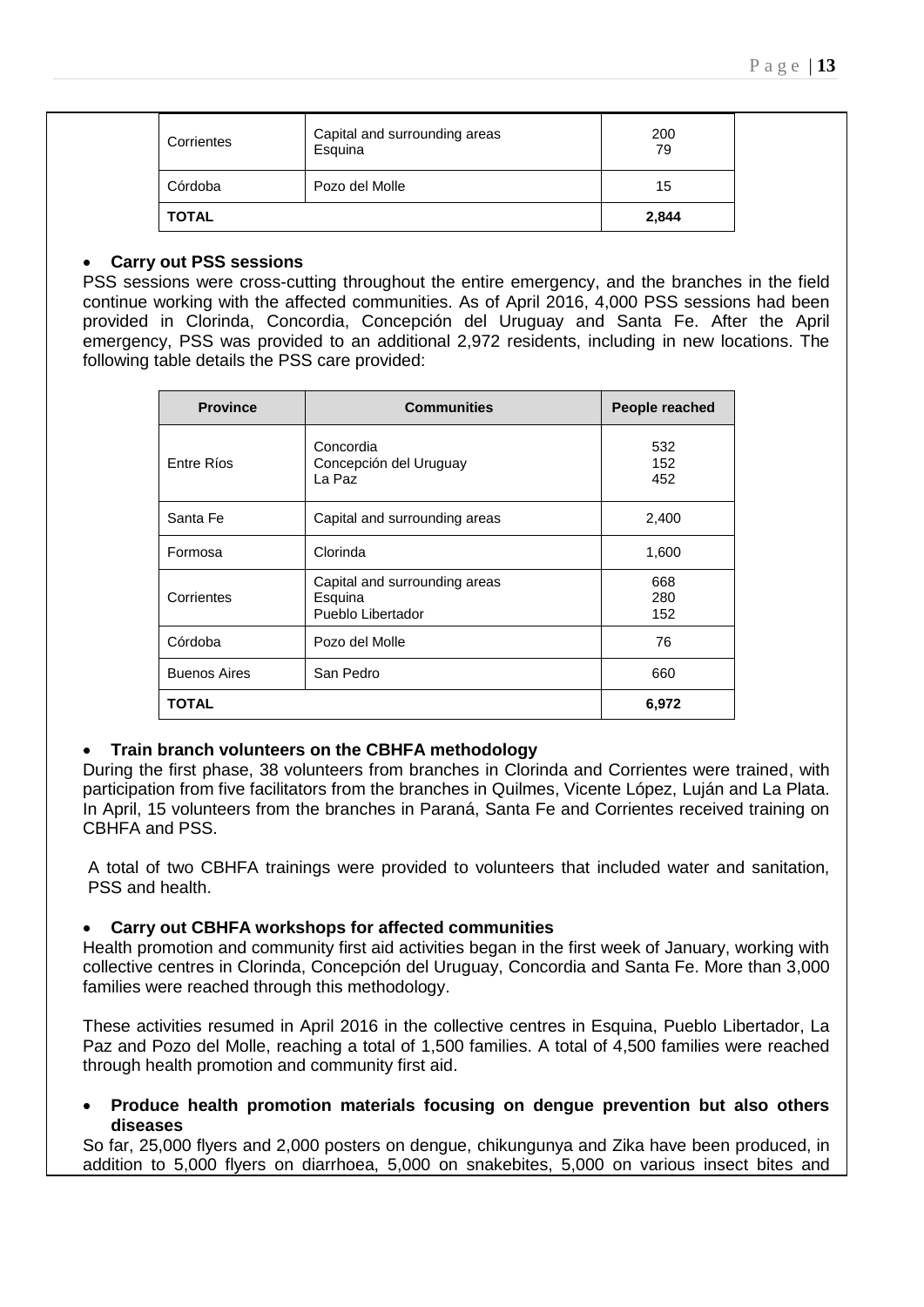| <b>TOTAL</b> |                                          | 2,844     |
|--------------|------------------------------------------|-----------|
| Córdoba      | Pozo del Molle                           | 15        |
| Corrientes   | Capital and surrounding areas<br>Esquina | 200<br>79 |

### **Carry out PSS sessions**

PSS sessions were cross-cutting throughout the entire emergency, and the branches in the field continue working with the affected communities. As of April 2016, 4,000 PSS sessions had been provided in Clorinda, Concordia, Concepción del Uruguay and Santa Fe. After the April emergency, PSS was provided to an additional 2,972 residents, including in new locations. The following table details the PSS care provided:

| <b>Province</b>     | <b>Communities</b>                                            | People reached    |
|---------------------|---------------------------------------------------------------|-------------------|
| Entre Ríos          | Concordia<br>Concepción del Uruguay<br>La Paz                 | 532<br>152<br>452 |
| Santa Fe            | Capital and surrounding areas                                 | 2,400             |
| Formosa             | Clorinda                                                      | 1,600             |
| Corrientes          | Capital and surrounding areas<br>Esquina<br>Pueblo Libertador | 668<br>280<br>152 |
| Córdoba             | Pozo del Molle                                                | 76                |
| <b>Buenos Aires</b> | San Pedro                                                     | 660               |
| <b>TOTAL</b>        |                                                               | 6,972             |

# **Train branch volunteers on the CBHFA methodology**

During the first phase, 38 volunteers from branches in Clorinda and Corrientes were trained, with participation from five facilitators from the branches in Quilmes, Vicente López, Luján and La Plata. In April, 15 volunteers from the branches in Paraná, Santa Fe and Corrientes received training on CBHFA and PSS.

A total of two CBHFA trainings were provided to volunteers that included water and sanitation, PSS and health.

#### **Carry out CBHFA workshops for affected communities**

Health promotion and community first aid activities began in the first week of January, working with collective centres in Clorinda, Concepción del Uruguay, Concordia and Santa Fe. More than 3,000 families were reached through this methodology.

These activities resumed in April 2016 in the collective centres in Esquina, Pueblo Libertador, La Paz and Pozo del Molle, reaching a total of 1,500 families. A total of 4,500 families were reached through health promotion and community first aid.

 **Produce health promotion materials focusing on dengue prevention but also others diseases** 

So far, 25,000 flyers and 2,000 posters on dengue, chikungunya and Zika have been produced, in addition to 5,000 flyers on diarrhoea, 5,000 on snakebites, 5,000 on various insect bites and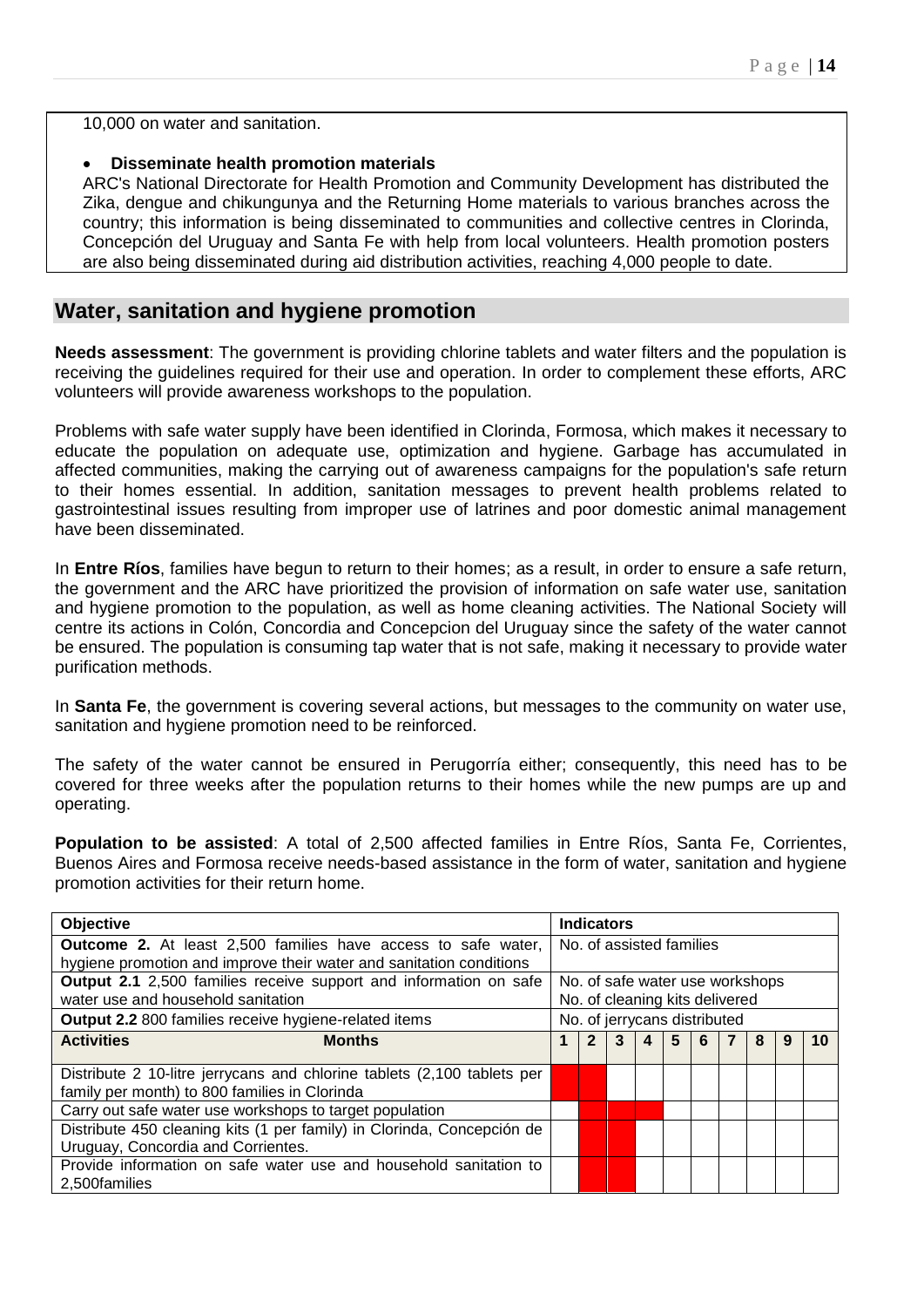10,000 on water and sanitation.

# **Disseminate health promotion materials**

ARC's National Directorate for Health Promotion and Community Development has distributed the Zika, dengue and chikungunya and the Returning Home materials to various branches across the country; this information is being disseminated to communities and collective centres in Clorinda, Concepción del Uruguay and Santa Fe with help from local volunteers. Health promotion posters are also being disseminated during aid distribution activities, reaching 4,000 people to date.

# **Water, sanitation and hygiene promotion**

**Needs assessment**: The government is providing chlorine tablets and water filters and the population is receiving the guidelines required for their use and operation. In order to complement these efforts, ARC volunteers will provide awareness workshops to the population.

Problems with safe water supply have been identified in Clorinda, Formosa, which makes it necessary to educate the population on adequate use, optimization and hygiene. Garbage has accumulated in affected communities, making the carrying out of awareness campaigns for the population's safe return to their homes essential. In addition, sanitation messages to prevent health problems related to gastrointestinal issues resulting from improper use of latrines and poor domestic animal management have been disseminated.

In **Entre Ríos**, families have begun to return to their homes; as a result, in order to ensure a safe return, the government and the ARC have prioritized the provision of information on safe water use, sanitation and hygiene promotion to the population, as well as home cleaning activities. The National Society will centre its actions in Colón, Concordia and Concepcion del Uruguay since the safety of the water cannot be ensured. The population is consuming tap water that is not safe, making it necessary to provide water purification methods.

In **Santa Fe**, the government is covering several actions, but messages to the community on water use, sanitation and hygiene promotion need to be reinforced.

The safety of the water cannot be ensured in Perugorría either; consequently, this need has to be covered for three weeks after the population returns to their homes while the new pumps are up and operating.

**Population to be assisted**: A total of 2,500 affected families in Entre Ríos, Santa Fe, Corrientes, Buenos Aires and Formosa receive needs-based assistance in the form of water, sanitation and hygiene promotion activities for their return home.

| Objective                                                                                                                |  |   | <b>Indicators</b>               |   |   |   |   |  |
|--------------------------------------------------------------------------------------------------------------------------|--|---|---------------------------------|---|---|---|---|--|
| <b>Outcome 2.</b> At least 2,500 families have access to safe water,                                                     |  |   | No. of assisted families        |   |   |   |   |  |
| hygiene promotion and improve their water and sanitation conditions                                                      |  |   |                                 |   |   |   |   |  |
| Output 2.1 2,500 families receive support and information on safe                                                        |  |   | No. of safe water use workshops |   |   |   |   |  |
| water use and household sanitation                                                                                       |  |   | No. of cleaning kits delivered  |   |   |   |   |  |
| <b>Output 2.2 800 families receive hygiene-related items</b>                                                             |  |   | No. of jerrycans distributed    |   |   |   |   |  |
| <b>Activities</b><br><b>Months</b>                                                                                       |  | 2 |                                 | 5 | 6 | 8 | 9 |  |
| Distribute 2 10-litre jerrycans and chlorine tablets (2,100 tablets per<br>family per month) to 800 families in Clorinda |  |   |                                 |   |   |   |   |  |
| Carry out safe water use workshops to target population                                                                  |  |   |                                 |   |   |   |   |  |
| Distribute 450 cleaning kits (1 per family) in Clorinda, Concepción de<br>Uruguay, Concordia and Corrientes.             |  |   |                                 |   |   |   |   |  |
| Provide information on safe water use and household sanitation to<br>2.500families                                       |  |   |                                 |   |   |   |   |  |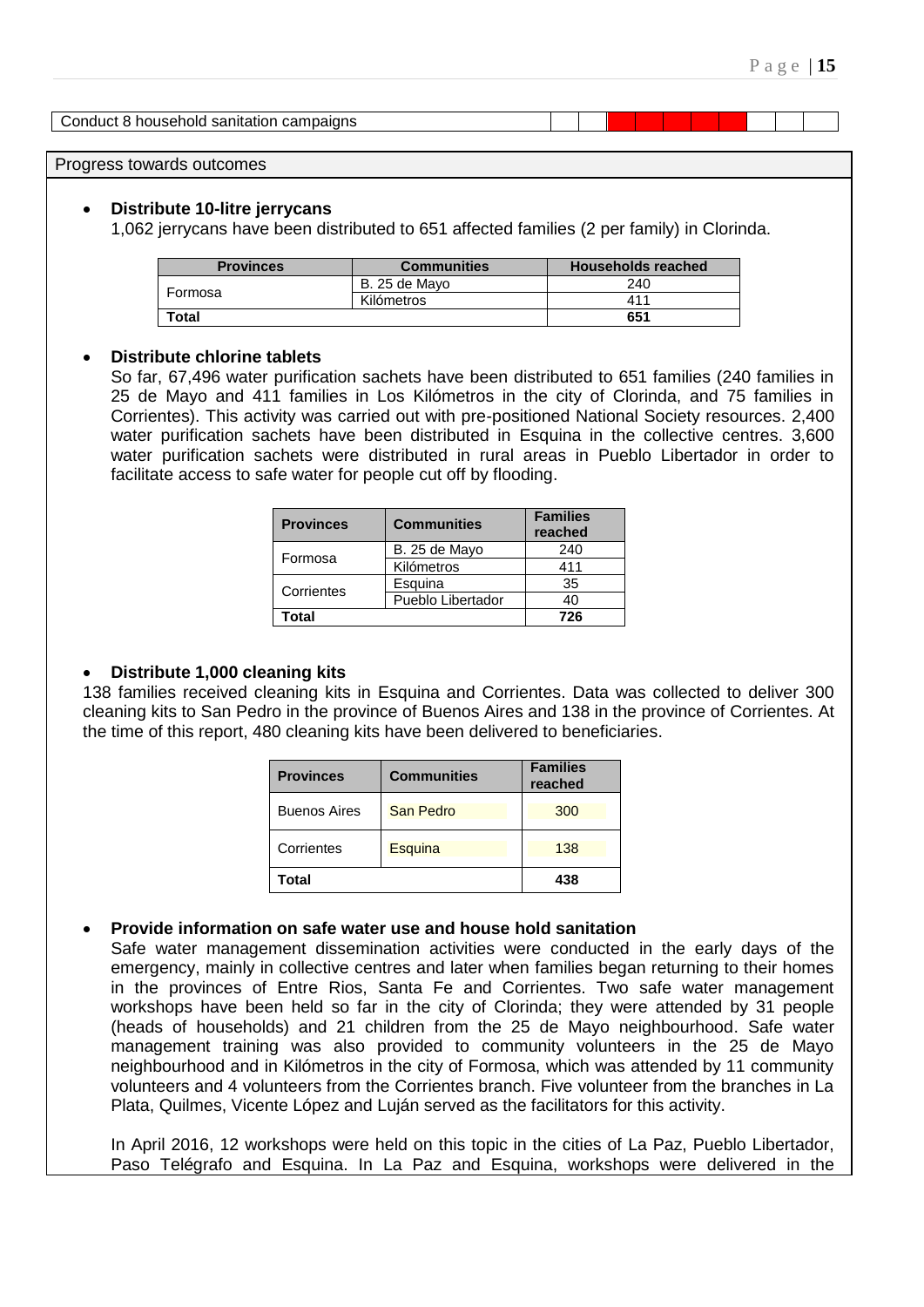Conduct 8 household sanitation campaigns

Progress towards outcomes

#### **Distribute 10-litre jerrycans**

1,062 jerrycans have been distributed to 651 affected families (2 per family) in Clorinda.

| <b>Provinces</b> | <b>Communities</b> | <b>Households reached</b> |
|------------------|--------------------|---------------------------|
|                  | B. 25 de Mayo      | 240                       |
| Formosa          | Kilómetros         | 411                       |
| Total            |                    | 651                       |

#### **Distribute chlorine tablets**

So far, 67,496 water purification sachets have been distributed to 651 families (240 families in 25 de Mayo and 411 families in Los Kilómetros in the city of Clorinda, and 75 families in Corrientes). This activity was carried out with pre-positioned National Society resources. 2,400 water purification sachets have been distributed in Esquina in the collective centres, 3,600 water purification sachets were distributed in rural areas in Pueblo Libertador in order to facilitate access to safe water for people cut off by flooding.

| <b>Provinces</b> | <b>Communities</b> | <b>Families</b><br>reached |
|------------------|--------------------|----------------------------|
| Formosa          | B. 25 de Mayo      | 240                        |
|                  | Kilómetros         | 411                        |
| Corrientes       | Esquina            | 35                         |
|                  | Pueblo Libertador  | 40                         |
| 'otal            |                    | 726                        |

### **Distribute 1,000 cleaning kits**

138 families received cleaning kits in Esquina and Corrientes. Data was collected to deliver 300 cleaning kits to San Pedro in the province of Buenos Aires and 138 in the province of Corrientes. At the time of this report, 480 cleaning kits have been delivered to beneficiaries.

| <b>Provinces</b>    | <b>Communities</b> | <b>Families</b><br>reached |
|---------------------|--------------------|----------------------------|
| <b>Buenos Aires</b> | <b>San Pedro</b>   | 300                        |
| Corrientes          | <b>Esquina</b>     | 138                        |
| Total               |                    | 438                        |

#### **Provide information on safe water use and house hold sanitation**

Safe water management dissemination activities were conducted in the early days of the emergency, mainly in collective centres and later when families began returning to their homes in the provinces of Entre Rios, Santa Fe and Corrientes. Two safe water management workshops have been held so far in the city of Clorinda; they were attended by 31 people (heads of households) and 21 children from the 25 de Mayo neighbourhood. Safe water management training was also provided to community volunteers in the 25 de Mayo neighbourhood and in Kilómetros in the city of Formosa, which was attended by 11 community volunteers and 4 volunteers from the Corrientes branch. Five volunteer from the branches in La Plata, Quilmes, Vicente López and Luján served as the facilitators for this activity.

In April 2016, 12 workshops were held on this topic in the cities of La Paz, Pueblo Libertador, Paso Telégrafo and Esquina. In La Paz and Esquina, workshops were delivered in the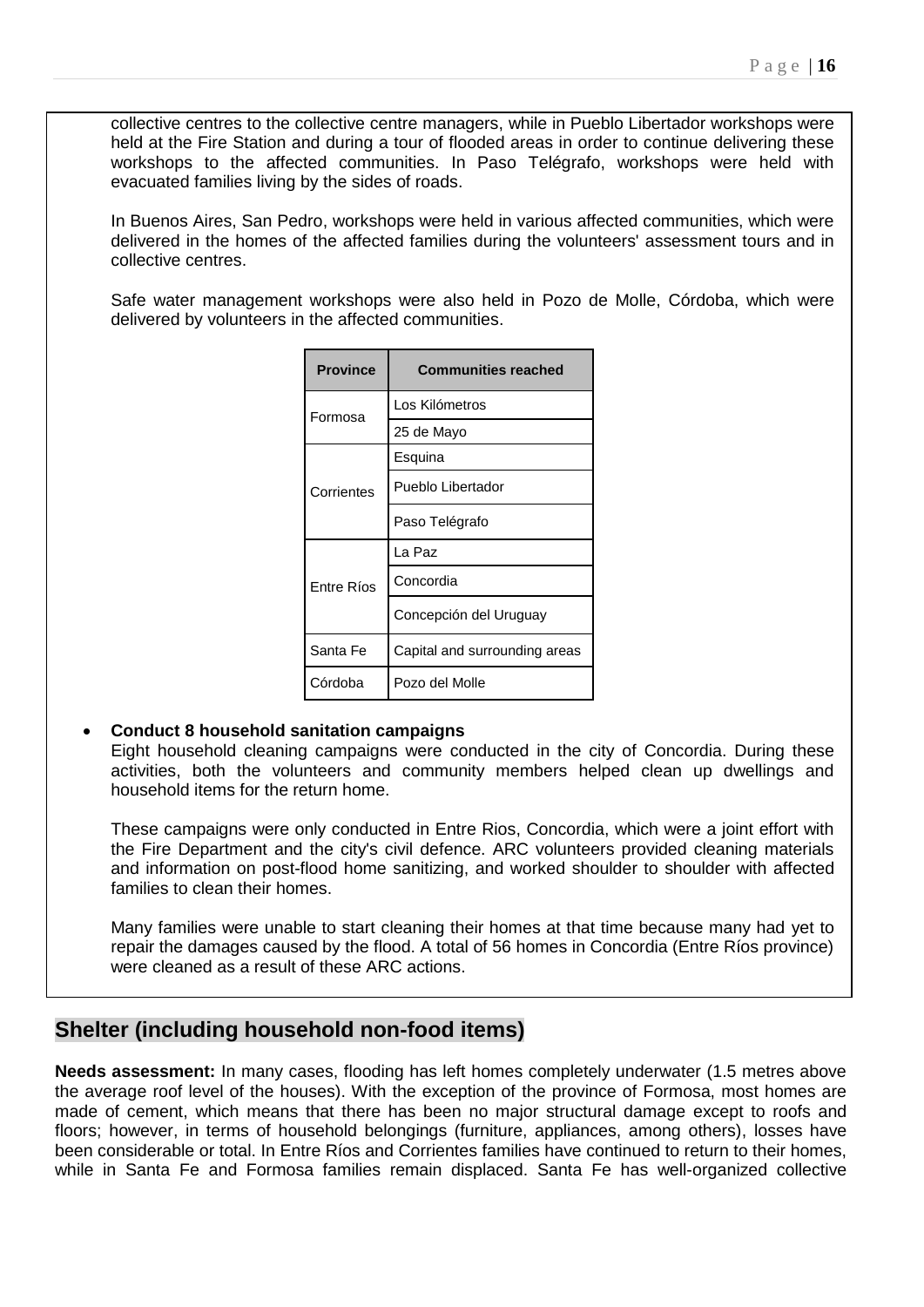collective centres to the collective centre managers, while in Pueblo Libertador workshops were held at the Fire Station and during a tour of flooded areas in order to continue delivering these workshops to the affected communities. In Paso Telégrafo, workshops were held with evacuated families living by the sides of roads.

In Buenos Aires, San Pedro, workshops were held in various affected communities, which were delivered in the homes of the affected families during the volunteers' assessment tours and in collective centres.

Safe water management workshops were also held in Pozo de Molle, Córdoba, which were delivered by volunteers in the affected communities.

| <b>Province</b> | <b>Communities reached</b>    |
|-----------------|-------------------------------|
| Formosa         | Los Kilómetros                |
|                 | 25 de Mayo                    |
|                 | Esquina                       |
| Corrientes      | Pueblo Libertador             |
|                 | Paso Telégrafo                |
|                 | La Paz                        |
| Entre Ríos      | Concordia                     |
|                 | Concepción del Uruguay        |
| Santa Fe        | Capital and surrounding areas |
| Córdoba         | Pozo del Molle                |

# **Conduct 8 household sanitation campaigns**

Eight household cleaning campaigns were conducted in the city of Concordia. During these activities, both the volunteers and community members helped clean up dwellings and household items for the return home.

These campaigns were only conducted in Entre Rios, Concordia, which were a joint effort with the Fire Department and the city's civil defence. ARC volunteers provided cleaning materials and information on post-flood home sanitizing, and worked shoulder to shoulder with affected families to clean their homes.

Many families were unable to start cleaning their homes at that time because many had yet to repair the damages caused by the flood. A total of 56 homes in Concordia (Entre Ríos province) were cleaned as a result of these ARC actions.

# **Shelter (including household non-food items)**

**Needs assessment:** In many cases, flooding has left homes completely underwater (1.5 metres above the average roof level of the houses). With the exception of the province of Formosa, most homes are made of cement, which means that there has been no major structural damage except to roofs and floors; however, in terms of household belongings (furniture, appliances, among others), losses have been considerable or total. In Entre Ríos and Corrientes families have continued to return to their homes, while in Santa Fe and Formosa families remain displaced. Santa Fe has well-organized collective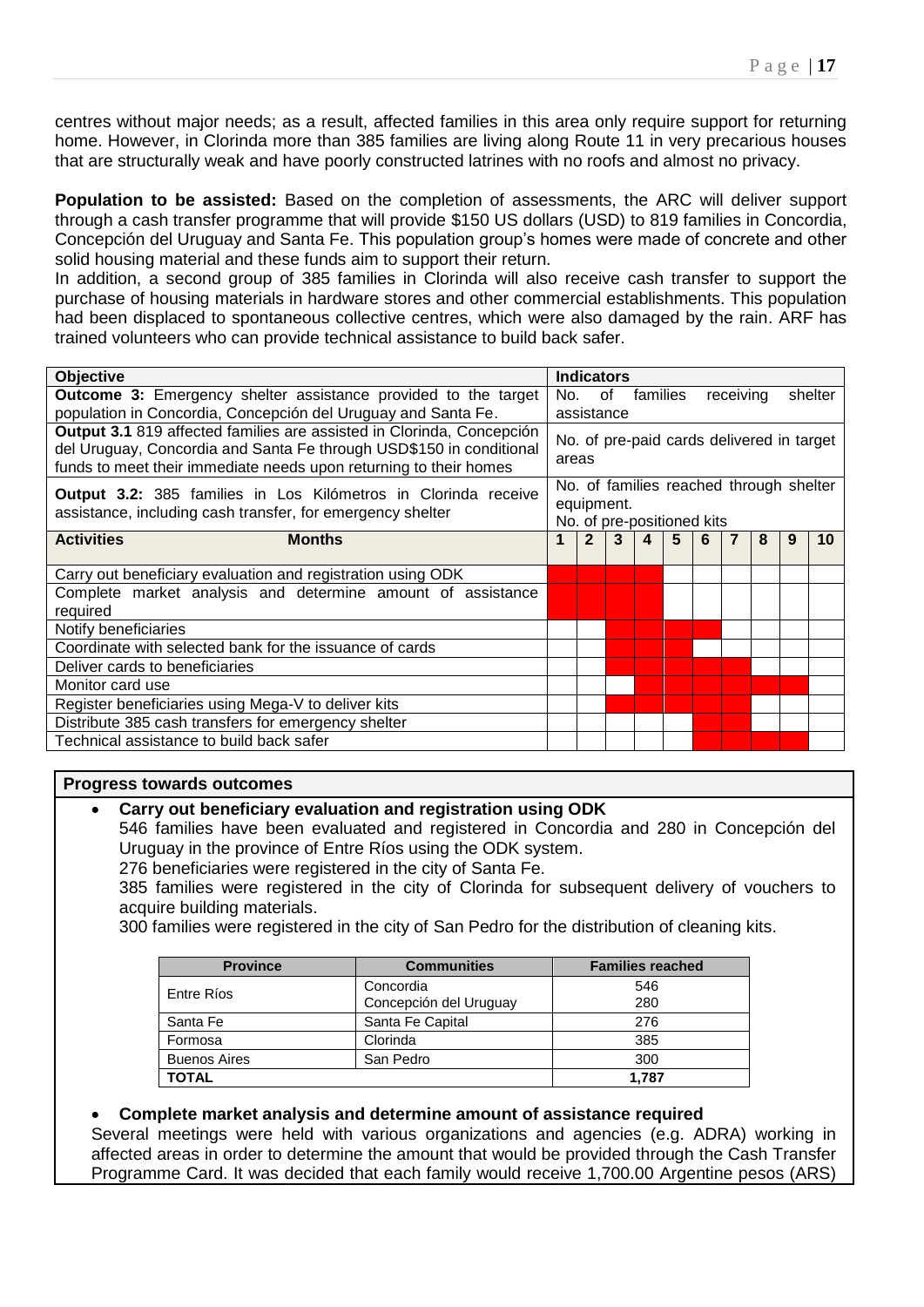centres without major needs; as a result, affected families in this area only require support for returning home. However, in Clorinda more than 385 families are living along Route 11 in very precarious houses that are structurally weak and have poorly constructed latrines with no roofs and almost no privacy.

**Population to be assisted:** Based on the completion of assessments, the ARC will deliver support through a cash transfer programme that will provide \$150 US dollars (USD) to 819 families in Concordia, Concepción del Uruguay and Santa Fe. This population group's homes were made of concrete and other solid housing material and these funds aim to support their return.

In addition, a second group of 385 families in Clorinda will also receive cash transfer to support the purchase of housing materials in hardware stores and other commercial establishments. This population had been displaced to spontaneous collective centres, which were also damaged by the rain. ARF has trained volunteers who can provide technical assistance to build back safer.

| <b>Objective</b>                                                                                                                                                                                                  |     | <b>Indicators</b>                                  |            |   |                                                                       |   |           |   |   |         |
|-------------------------------------------------------------------------------------------------------------------------------------------------------------------------------------------------------------------|-----|----------------------------------------------------|------------|---|-----------------------------------------------------------------------|---|-----------|---|---|---------|
| <b>Outcome 3:</b> Emergency shelter assistance provided to the target                                                                                                                                             | No. |                                                    | of         |   | families                                                              |   | receiving |   |   | shelter |
| population in Concordia, Concepción del Uruguay and Santa Fe.                                                                                                                                                     |     | assistance                                         |            |   |                                                                       |   |           |   |   |         |
| Output 3.1 819 affected families are assisted in Clorinda, Concepción<br>del Uruguay, Concordia and Santa Fe through USD\$150 in conditional<br>funds to meet their immediate needs upon returning to their homes |     | No. of pre-paid cards delivered in target<br>areas |            |   |                                                                       |   |           |   |   |         |
| <b>Output 3.2:</b> 385 families in Los Kilómetros in Clorinda receive<br>assistance, including cash transfer, for emergency shelter                                                                               |     |                                                    | equipment. |   | No. of families reached through shelter<br>No. of pre-positioned kits |   |           |   |   |         |
| <b>Activities</b><br><b>Months</b>                                                                                                                                                                                | 1   | $\overline{2}$                                     | 3          | 4 | 5                                                                     | 6 | 7         | 8 | 9 | 10      |
| Carry out beneficiary evaluation and registration using ODK                                                                                                                                                       |     |                                                    |            |   |                                                                       |   |           |   |   |         |
| Complete market analysis and determine amount of assistance                                                                                                                                                       |     |                                                    |            |   |                                                                       |   |           |   |   |         |
| required                                                                                                                                                                                                          |     |                                                    |            |   |                                                                       |   |           |   |   |         |
| Notify beneficiaries                                                                                                                                                                                              |     |                                                    |            |   |                                                                       |   |           |   |   |         |
| Coordinate with selected bank for the issuance of cards                                                                                                                                                           |     |                                                    |            |   |                                                                       |   |           |   |   |         |
| Deliver cards to beneficiaries                                                                                                                                                                                    |     |                                                    |            |   |                                                                       |   |           |   |   |         |
| Monitor card use                                                                                                                                                                                                  |     |                                                    |            |   |                                                                       |   |           |   |   |         |
| Register beneficiaries using Mega-V to deliver kits                                                                                                                                                               |     |                                                    |            |   |                                                                       |   |           |   |   |         |
| Distribute 385 cash transfers for emergency shelter                                                                                                                                                               |     |                                                    |            |   |                                                                       |   |           |   |   |         |
| Technical assistance to build back safer                                                                                                                                                                          |     |                                                    |            |   |                                                                       |   |           |   |   |         |

#### **Progress towards outcomes**

# **Carry out beneficiary evaluation and registration using ODK**

546 families have been evaluated and registered in Concordia and 280 in Concepción del Uruguay in the province of Entre Ríos using the ODK system.

276 beneficiaries were registered in the city of Santa Fe.

385 families were registered in the city of Clorinda for subsequent delivery of vouchers to acquire building materials.

300 families were registered in the city of San Pedro for the distribution of cleaning kits.

| <b>Province</b>     | <b>Communities</b>     | <b>Families reached</b> |
|---------------------|------------------------|-------------------------|
| Entre Ríos          | Concordia              | 546                     |
|                     | Concepción del Uruguay | 280                     |
| Santa Fe            | Santa Fe Capital       | 276                     |
| Formosa             | Clorinda               | 385                     |
| <b>Buenos Aires</b> | San Pedro              | 300                     |
| <b>TOTAL</b>        |                        | 1.787                   |

#### **Complete market analysis and determine amount of assistance required**

Several meetings were held with various organizations and agencies (e.g. ADRA) working in affected areas in order to determine the amount that would be provided through the Cash Transfer Programme Card. It was decided that each family would receive 1,700.00 Argentine pesos (ARS)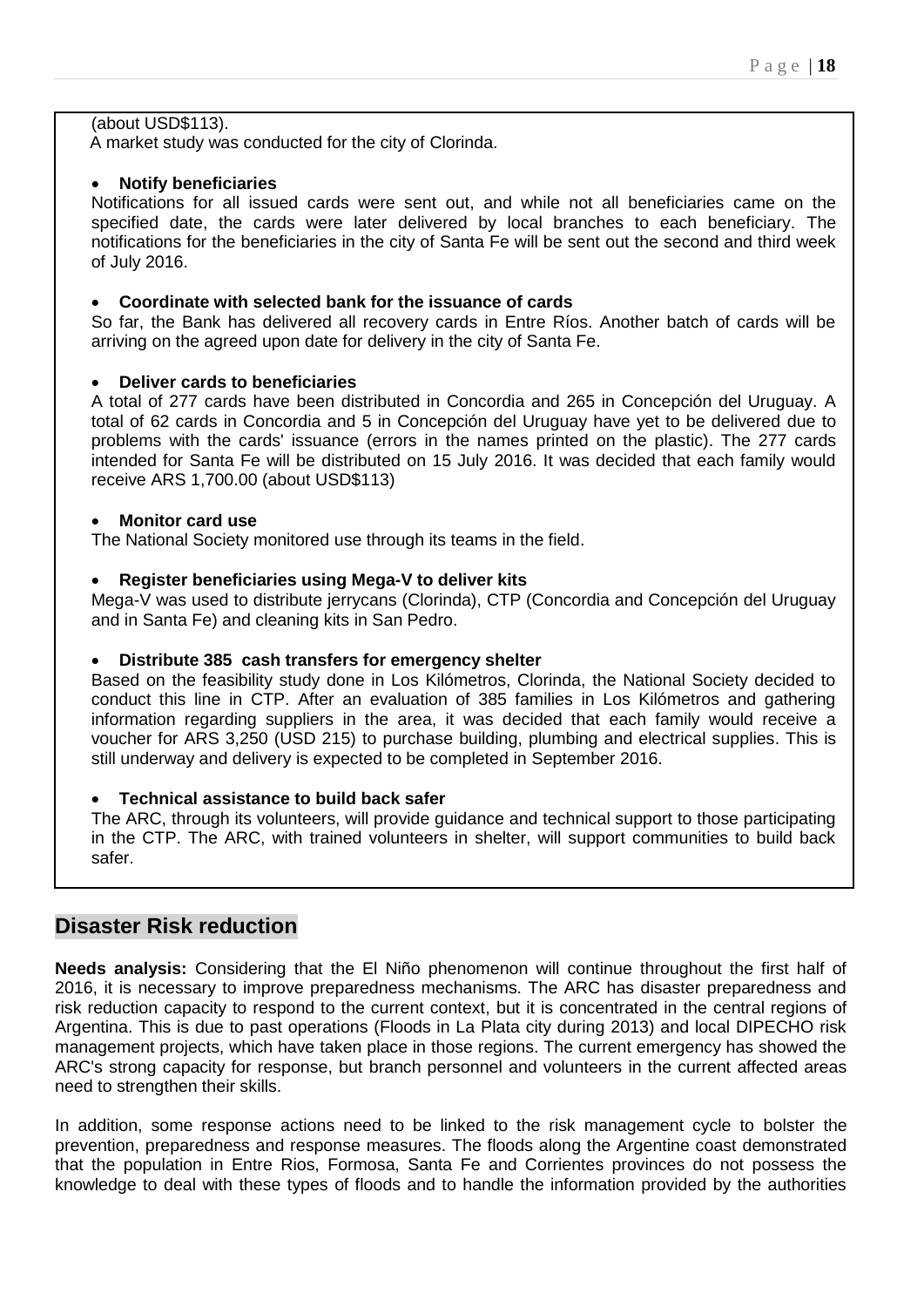# (about USD\$113).

A market study was conducted for the city of Clorinda.

# **Notify beneficiaries**

Notifications for all issued cards were sent out, and while not all beneficiaries came on the specified date, the cards were later delivered by local branches to each beneficiary. The notifications for the beneficiaries in the city of Santa Fe will be sent out the second and third week of July 2016.

# **Coordinate with selected bank for the issuance of cards**

So far, the Bank has delivered all recovery cards in Entre Ríos. Another batch of cards will be arriving on the agreed upon date for delivery in the city of Santa Fe.

# **Deliver cards to beneficiaries**

A total of 277 cards have been distributed in Concordia and 265 in Concepción del Uruguay. A total of 62 cards in Concordia and 5 in Concepción del Uruguay have yet to be delivered due to problems with the cards' issuance (errors in the names printed on the plastic). The 277 cards intended for Santa Fe will be distributed on 15 July 2016. It was decided that each family would receive ARS 1,700.00 (about USD\$113)

### **Monitor card use**

The National Society monitored use through its teams in the field.

### **Register beneficiaries using Mega-V to deliver kits**

Mega-V was used to distribute jerrycans (Clorinda), CTP (Concordia and Concepción del Uruguay and in Santa Fe) and cleaning kits in San Pedro.

# **Distribute 385 cash transfers for emergency shelter**

Based on the feasibility study done in Los Kilómetros, Clorinda, the National Society decided to conduct this line in CTP. After an evaluation of 385 families in Los Kilómetros and gathering information regarding suppliers in the area, it was decided that each family would receive a voucher for ARS 3,250 (USD 215) to purchase building, plumbing and electrical supplies. This is still underway and delivery is expected to be completed in September 2016.

# **Technical assistance to build back safer**

The ARC, through its volunteers, will provide guidance and technical support to those participating in the CTP. The ARC, with trained volunteers in shelter, will support communities to build back safer.

# **Disaster Risk reduction**

**Needs analysis:** Considering that the El Niño phenomenon will continue throughout the first half of 2016, it is necessary to improve preparedness mechanisms. The ARC has disaster preparedness and risk reduction capacity to respond to the current context, but it is concentrated in the central regions of Argentina. This is due to past operations (Floods in La Plata city during 2013) and local DIPECHO risk management projects, which have taken place in those regions. The current emergency has showed the ARC's strong capacity for response, but branch personnel and volunteers in the current affected areas need to strengthen their skills.

In addition, some response actions need to be linked to the risk management cycle to bolster the prevention, preparedness and response measures. The floods along the Argentine coast demonstrated that the population in Entre Rios, Formosa, Santa Fe and Corrientes provinces do not possess the knowledge to deal with these types of floods and to handle the information provided by the authorities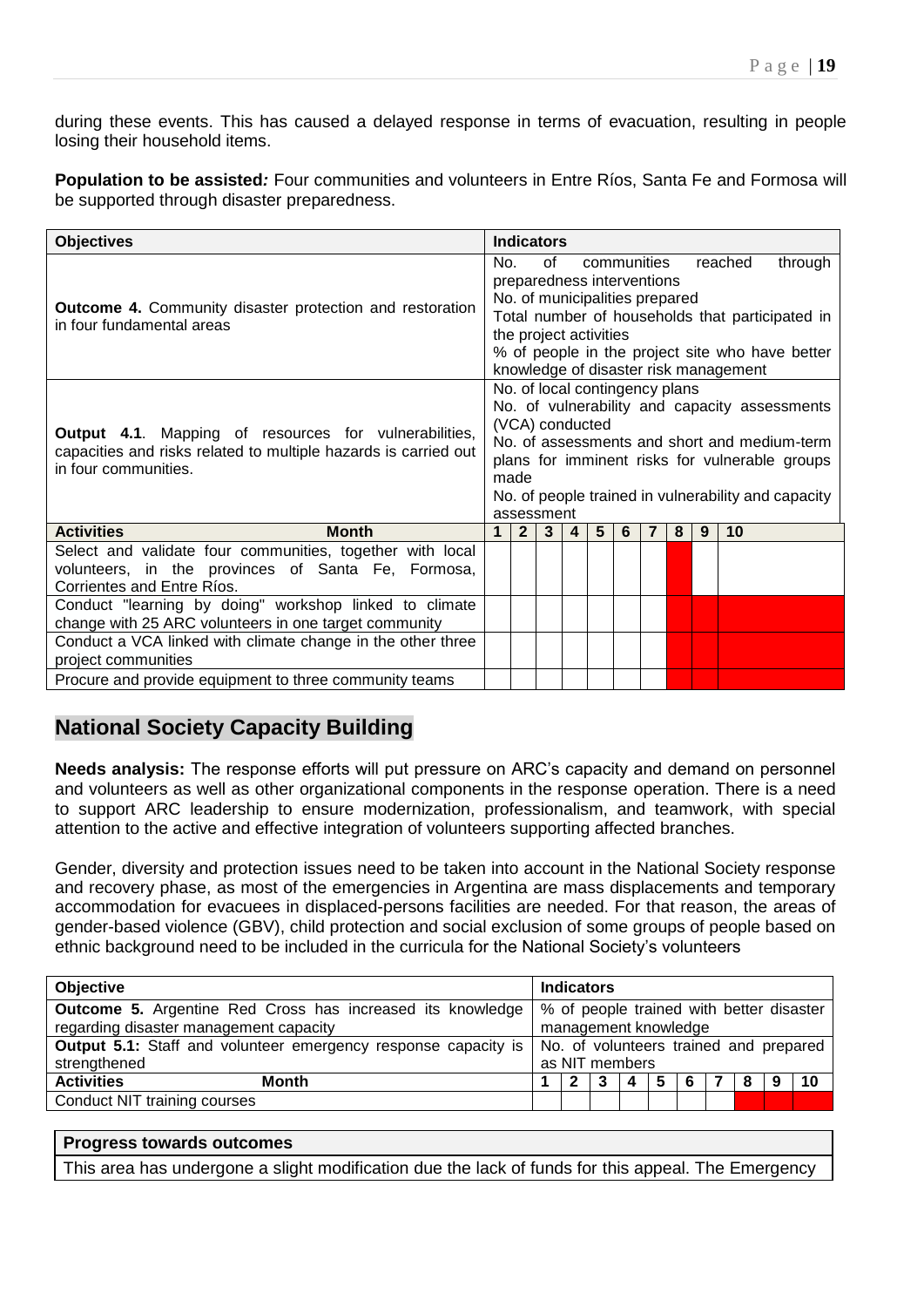during these events. This has caused a delayed response in terms of evacuation, resulting in people losing their household items.

**Population to be assisted***:* Four communities and volunteers in Entre Ríos, Santa Fe and Formosa will be supported through disaster preparedness.

| <b>Objectives</b>                                                                                                                                | <b>Indicators</b>                                                                                                                                                                                                                                                                       |
|--------------------------------------------------------------------------------------------------------------------------------------------------|-----------------------------------------------------------------------------------------------------------------------------------------------------------------------------------------------------------------------------------------------------------------------------------------|
| <b>Outcome 4.</b> Community disaster protection and restoration<br>in four fundamental areas                                                     | of<br>communities<br>reached<br>through<br>No.<br>preparedness interventions<br>No. of municipalities prepared<br>Total number of households that participated in<br>the project activities<br>% of people in the project site who have better<br>knowledge of disaster risk management |
| Output 4.1. Mapping of resources for vulnerabilities,<br>capacities and risks related to multiple hazards is carried out<br>in four communities. | No. of local contingency plans<br>No. of vulnerability and capacity assessments<br>(VCA) conducted<br>No. of assessments and short and medium-term<br>plans for imminent risks for vulnerable groups<br>made<br>No. of people trained in vulnerability and capacity<br>assessment       |
| <b>Activities</b><br><b>Month</b>                                                                                                                | 5 <sup>5</sup><br>10<br>$\mathbf 1$<br>2 <sup>1</sup><br>3<br>6<br>8<br>9<br>$\overline{4}$<br>7                                                                                                                                                                                        |
| Select and validate four communities, together with local<br>volunteers, in the provinces of Santa Fe, Formosa,<br>Corrientes and Entre Ríos.    |                                                                                                                                                                                                                                                                                         |
| Conduct "learning by doing" workshop linked to climate<br>change with 25 ARC volunteers in one target community                                  |                                                                                                                                                                                                                                                                                         |
| Conduct a VCA linked with climate change in the other three<br>project communities                                                               |                                                                                                                                                                                                                                                                                         |
| Procure and provide equipment to three community teams                                                                                           |                                                                                                                                                                                                                                                                                         |

# **National Society Capacity Building**

**Needs analysis:** The response efforts will put pressure on ARC's capacity and demand on personnel and volunteers as well as other organizational components in the response operation. There is a need to support ARC leadership to ensure modernization, professionalism, and teamwork, with special attention to the active and effective integration of volunteers supporting affected branches.

Gender, diversity and protection issues need to be taken into account in the National Society response and recovery phase, as most of the emergencies in Argentina are mass displacements and temporary accommodation for evacuees in displaced-persons facilities are needed. For that reason, the areas of gender-based violence (GBV), child protection and social exclusion of some groups of people based on ethnic background need to be included in the curricula for the National Society's volunteers

| <b>Objective</b>                                                      | <b>Indicators</b>                                 |  |  |  |  |  |
|-----------------------------------------------------------------------|---------------------------------------------------|--|--|--|--|--|
| <b>Outcome 5.</b> Argentine Red Cross has increased its knowledge     | % of people trained with better disaster          |  |  |  |  |  |
| regarding disaster management capacity                                | management knowledge                              |  |  |  |  |  |
| <b>Output 5.1:</b> Staff and volunteer emergency response capacity is | No. of volunteers trained and prepared            |  |  |  |  |  |
| strengthened                                                          | as NIT members                                    |  |  |  |  |  |
| <b>Activities</b><br><b>Month</b>                                     | 10<br>5<br>8<br>6<br>$\mathbf{2}$<br>-3<br>4<br>9 |  |  |  |  |  |
| Conduct NIT training courses                                          |                                                   |  |  |  |  |  |

### **Progress towards outcomes**

This area has undergone a slight modification due the lack of funds for this appeal. The Emergency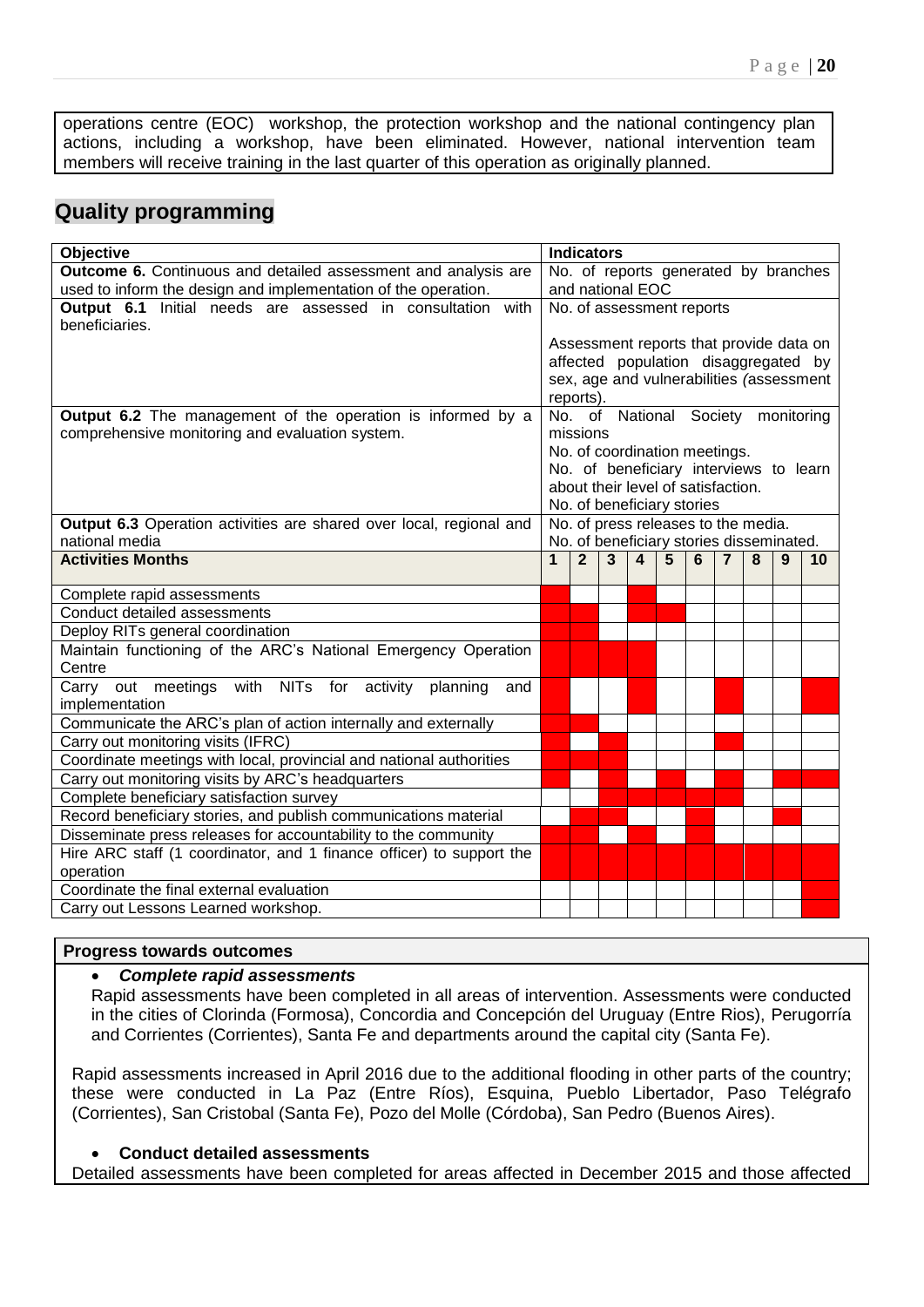operations centre (EOC) workshop, the protection workshop and the national contingency plan actions, including a workshop, have been eliminated. However, national intervention team members will receive training in the last quarter of this operation as originally planned.

# **Quality programming**

| Objective                                                                         | <b>Indicators</b> |                |                         |                  |   |                                    |                                                                                 |   |   |                                          |
|-----------------------------------------------------------------------------------|-------------------|----------------|-------------------------|------------------|---|------------------------------------|---------------------------------------------------------------------------------|---|---|------------------------------------------|
| Outcome 6. Continuous and detailed assessment and analysis are                    |                   |                |                         |                  |   |                                    |                                                                                 |   |   | No. of reports generated by branches     |
| used to inform the design and implementation of the operation.                    |                   |                | and national EOC        |                  |   |                                    |                                                                                 |   |   |                                          |
| Output 6.1 Initial needs are assessed in consultation with                        |                   |                |                         |                  |   | No. of assessment reports          |                                                                                 |   |   |                                          |
| beneficiaries.                                                                    |                   |                |                         |                  |   |                                    |                                                                                 |   |   |                                          |
|                                                                                   |                   |                |                         |                  |   |                                    |                                                                                 |   |   | Assessment reports that provide data on  |
|                                                                                   |                   |                |                         |                  |   |                                    |                                                                                 |   |   | affected population disaggregated by     |
|                                                                                   |                   |                |                         |                  |   |                                    |                                                                                 |   |   | sex, age and vulnerabilities (assessment |
|                                                                                   | reports).         |                |                         |                  |   |                                    |                                                                                 |   |   |                                          |
| <b>Output 6.2</b> The management of the operation is informed by a                |                   |                |                         |                  |   |                                    |                                                                                 |   |   | No. of National Society monitoring       |
| comprehensive monitoring and evaluation system.                                   | missions          |                |                         |                  |   |                                    |                                                                                 |   |   |                                          |
|                                                                                   |                   |                |                         |                  |   | No. of coordination meetings.      |                                                                                 |   |   |                                          |
|                                                                                   |                   |                |                         |                  |   | about their level of satisfaction. |                                                                                 |   |   | No. of beneficiary interviews to learn   |
|                                                                                   |                   |                |                         |                  |   | No. of beneficiary stories         |                                                                                 |   |   |                                          |
| Output 6.3 Operation activities are shared over local, regional and               |                   |                |                         |                  |   |                                    |                                                                                 |   |   |                                          |
| national media                                                                    |                   |                |                         |                  |   |                                    | No. of press releases to the media.<br>No. of beneficiary stories disseminated. |   |   |                                          |
| <b>Activities Months</b>                                                          | 1                 | $\overline{2}$ | $\overline{\mathbf{3}}$ | $\boldsymbol{4}$ | 5 | 6                                  | $\overline{7}$                                                                  | 8 | 9 | 10                                       |
|                                                                                   |                   |                |                         |                  |   |                                    |                                                                                 |   |   |                                          |
| Complete rapid assessments                                                        |                   |                |                         |                  |   |                                    |                                                                                 |   |   |                                          |
| Conduct detailed assessments                                                      |                   |                |                         |                  |   |                                    |                                                                                 |   |   |                                          |
| Deploy RITs general coordination                                                  |                   |                |                         |                  |   |                                    |                                                                                 |   |   |                                          |
| Maintain functioning of the ARC's National Emergency Operation                    |                   |                |                         |                  |   |                                    |                                                                                 |   |   |                                          |
| Centre                                                                            |                   |                |                         |                  |   |                                    |                                                                                 |   |   |                                          |
| Carry out meetings with NITs for activity planning<br>and                         |                   |                |                         |                  |   |                                    |                                                                                 |   |   |                                          |
| implementation                                                                    |                   |                |                         |                  |   |                                    |                                                                                 |   |   |                                          |
| Communicate the ARC's plan of action internally and externally                    |                   |                |                         |                  |   |                                    |                                                                                 |   |   |                                          |
| Carry out monitoring visits (IFRC)                                                |                   |                |                         |                  |   |                                    |                                                                                 |   |   |                                          |
| Coordinate meetings with local, provincial and national authorities               |                   |                |                         |                  |   |                                    |                                                                                 |   |   |                                          |
| Carry out monitoring visits by ARC's headquarters                                 |                   |                |                         |                  |   |                                    |                                                                                 |   |   |                                          |
| Complete beneficiary satisfaction survey                                          |                   |                |                         |                  |   |                                    |                                                                                 |   |   |                                          |
| Record beneficiary stories, and publish communications material                   |                   |                |                         |                  |   |                                    |                                                                                 |   |   |                                          |
| Disseminate press releases for accountability to the community                    |                   |                |                         |                  |   |                                    |                                                                                 |   |   |                                          |
| Hire ARC staff (1 coordinator, and 1 finance officer) to support the<br>operation |                   |                |                         |                  |   |                                    |                                                                                 |   |   |                                          |
| Coordinate the final external evaluation                                          |                   |                |                         |                  |   |                                    |                                                                                 |   |   |                                          |
| Carry out Lessons Learned workshop.                                               |                   |                |                         |                  |   |                                    |                                                                                 |   |   |                                          |
|                                                                                   |                   |                |                         |                  |   |                                    |                                                                                 |   |   |                                          |

#### **Progress towards outcomes**

# *Complete rapid assessments*

Rapid assessments have been completed in all areas of intervention. Assessments were conducted in the cities of Clorinda (Formosa), Concordia and Concepción del Uruguay (Entre Rios), Perugorría and Corrientes (Corrientes), Santa Fe and departments around the capital city (Santa Fe).

Rapid assessments increased in April 2016 due to the additional flooding in other parts of the country; these were conducted in La Paz (Entre Ríos), Esquina, Pueblo Libertador, Paso Telégrafo (Corrientes), San Cristobal (Santa Fe), Pozo del Molle (Córdoba), San Pedro (Buenos Aires).

# **Conduct detailed assessments**

Detailed assessments have been completed for areas affected in December 2015 and those affected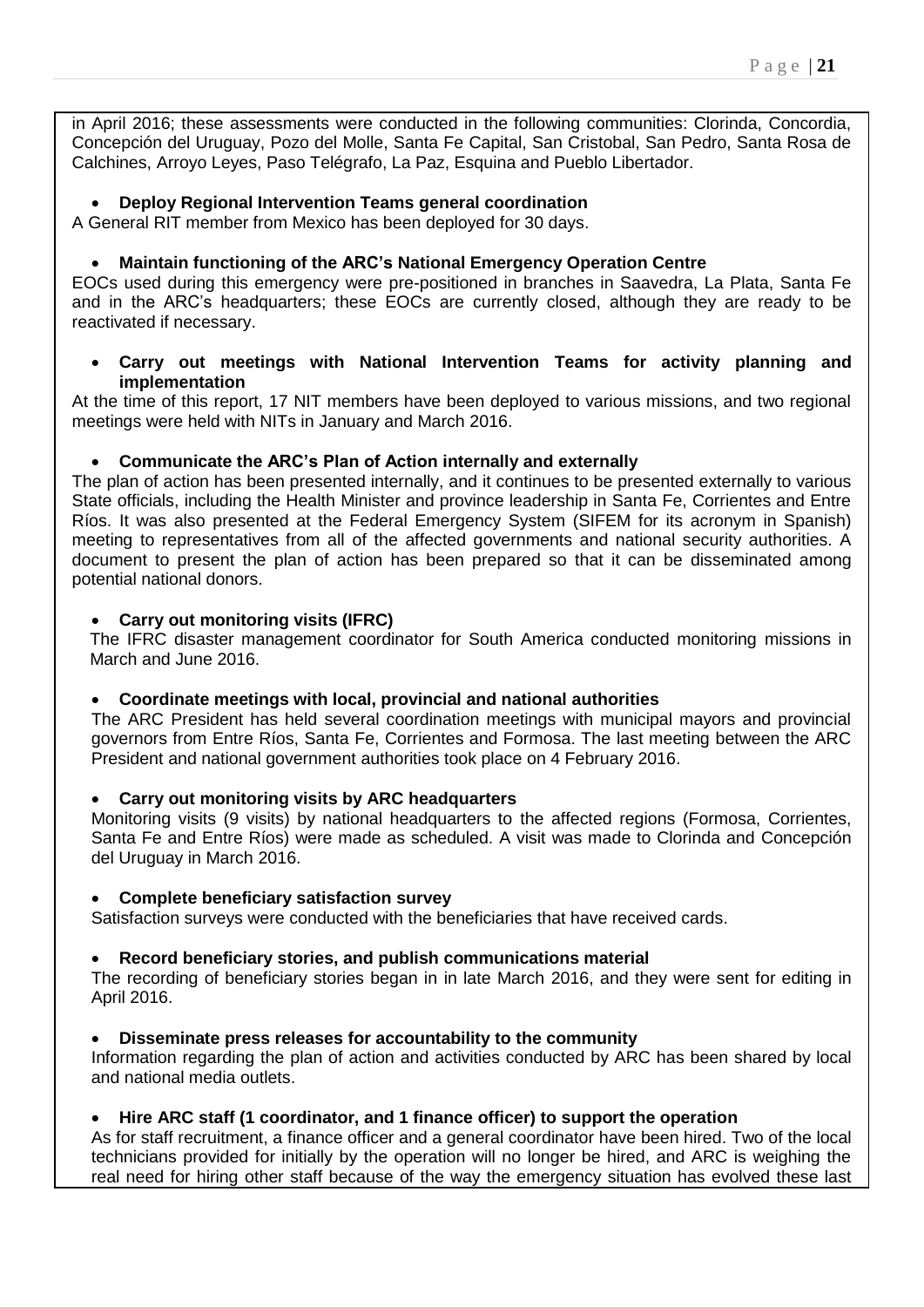in April 2016; these assessments were conducted in the following communities: Clorinda, Concordia, Concepción del Uruguay, Pozo del Molle, Santa Fe Capital, San Cristobal, San Pedro, Santa Rosa de Calchines, Arroyo Leyes, Paso Telégrafo, La Paz, Esquina and Pueblo Libertador.

# **Deploy Regional Intervention Teams general coordination**

A General RIT member from Mexico has been deployed for 30 days.

# **Maintain functioning of the ARC's National Emergency Operation Centre**

EOCs used during this emergency were pre-positioned in branches in Saavedra, La Plata, Santa Fe and in the ARC's headquarters; these EOCs are currently closed, although they are ready to be reactivated if necessary.

# **Carry out meetings with National Intervention Teams for activity planning and implementation**

At the time of this report, 17 NIT members have been deployed to various missions, and two regional meetings were held with NITs in January and March 2016.

# **Communicate the ARC's Plan of Action internally and externally**

The plan of action has been presented internally, and it continues to be presented externally to various State officials, including the Health Minister and province leadership in Santa Fe, Corrientes and Entre Ríos. It was also presented at the Federal Emergency System (SIFEM for its acronym in Spanish) meeting to representatives from all of the affected governments and national security authorities. A document to present the plan of action has been prepared so that it can be disseminated among potential national donors.

# **Carry out monitoring visits (IFRC)**

The IFRC disaster management coordinator for South America conducted monitoring missions in March and June 2016.

# **Coordinate meetings with local, provincial and national authorities**

The ARC President has held several coordination meetings with municipal mayors and provincial governors from Entre Ríos, Santa Fe, Corrientes and Formosa. The last meeting between the ARC President and national government authorities took place on 4 February 2016.

# **Carry out monitoring visits by ARC headquarters**

Monitoring visits (9 visits) by national headquarters to the affected regions (Formosa, Corrientes, Santa Fe and Entre Ríos) were made as scheduled. A visit was made to Clorinda and Concepción del Uruguay in March 2016.

# **Complete beneficiary satisfaction survey**

Satisfaction surveys were conducted with the beneficiaries that have received cards.

# **Record beneficiary stories, and publish communications material**

The recording of beneficiary stories began in in late March 2016, and they were sent for editing in April 2016.

# **Disseminate press releases for accountability to the community**

Information regarding the plan of action and activities conducted by ARC has been shared by local and national media outlets.

# **Hire ARC staff (1 coordinator, and 1 finance officer) to support the operation**

As for staff recruitment, a finance officer and a general coordinator have been hired. Two of the local technicians provided for initially by the operation will no longer be hired, and ARC is weighing the real need for hiring other staff because of the way the emergency situation has evolved these last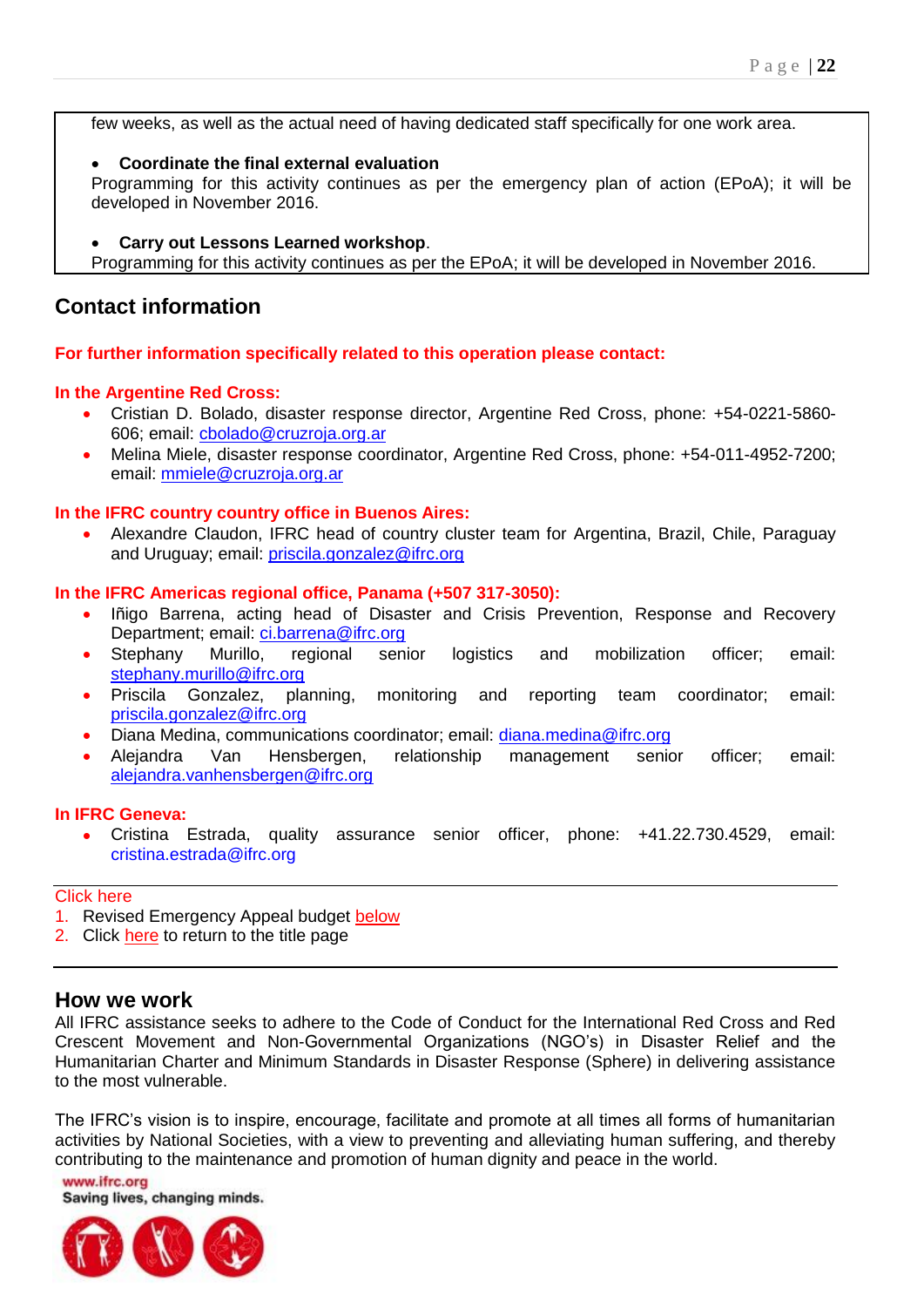<span id="page-21-0"></span>few weeks, as well as the actual need of having dedicated staff specifically for one work area.

# **Coordinate the final external evaluation**

Programming for this activity continues as per the emergency plan of action (EPoA); it will be developed in November 2016.

**Carry out Lessons Learned workshop**.

Programming for this activity continues as per the EPoA; it will be developed in November 2016.

# **Contact information**

# **For further information specifically related to this operation please contact:**

# **In the Argentine Red Cross:**

- Cristian D. Bolado, disaster response director, Argentine Red Cross, phone: +54-0221-5860- 606; email: [cbolado@cruzroja.org.ar](mailto:cbolado@cruzroja.org.ar)
- Melina Miele, disaster response coordinator, Argentine Red Cross, phone: +54-011-4952-7200; email: [mmiele@cruzroja.org.ar](mailto:mmiele@cruzroja.org.ar)

# **In the IFRC country country office in Buenos Aires:**

 Alexandre Claudon, IFRC head of country cluster team for Argentina, Brazil, Chile, Paraguay and Uruguay; email: [priscila.gonzalez@ifrc.org](mailto:priscila.gonzalez@ifrc.org)

### **In the IFRC Americas regional office, Panama (+507 317-3050):**

- Iñigo Barrena, acting head of Disaster and Crisis Prevention, Response and Recovery Department; email: [ci.barrena@ifrc.org](mailto:ci.barrena@ifrc.org)
- Stephany Murillo, regional senior logistics and mobilization officer; email: [stephany.murillo@ifrc.org](mailto:stephany.murillo@ifrc.org)
- Priscila Gonzalez, planning, monitoring and reporting team coordinator; email: [priscila.gonzalez@ifrc.org](mailto:priscila.gonzalez@ifrc.org)
- Diana Medina, communications coordinator; email: [diana.medina@ifrc.org](mailto:diana.medina@ifrc.org)
- Alejandra Van Hensbergen, relationship management senior officer; email: [alejandra.vanhensbergen@ifrc.org](mailto:alejandra.vanhensbergen@ifrc.org)

#### **In IFRC Geneva:**

 Cristina Estrada, quality assurance senior officer, phone: +41.22.730.4529, email: cristina.estrada@ifrc.org

#### Click here

- 1. Revised Emergency Appeal budget below
- 2. Click here to return to the title page

# **How we work**

All IFRC assistance seeks to adhere to the Code of Conduct for the International Red Cross and Red Crescent Movement and Non-Governmental Organizations (NGO's) in Disaster Relief and the Humanitarian Charter and Minimum Standards in Disaster Response (Sphere) in delivering assistance to the most vulnerable.

The IFRC's vision is to inspire, encourage, facilitate and promote at all times all forms of humanitarian activities by National Societies, with a view to preventing and alleviating human suffering, and thereby contributing to the maintenance and promotion of human dignity and peace in the world.

www.ifrc.org Saving lives, changing minds.

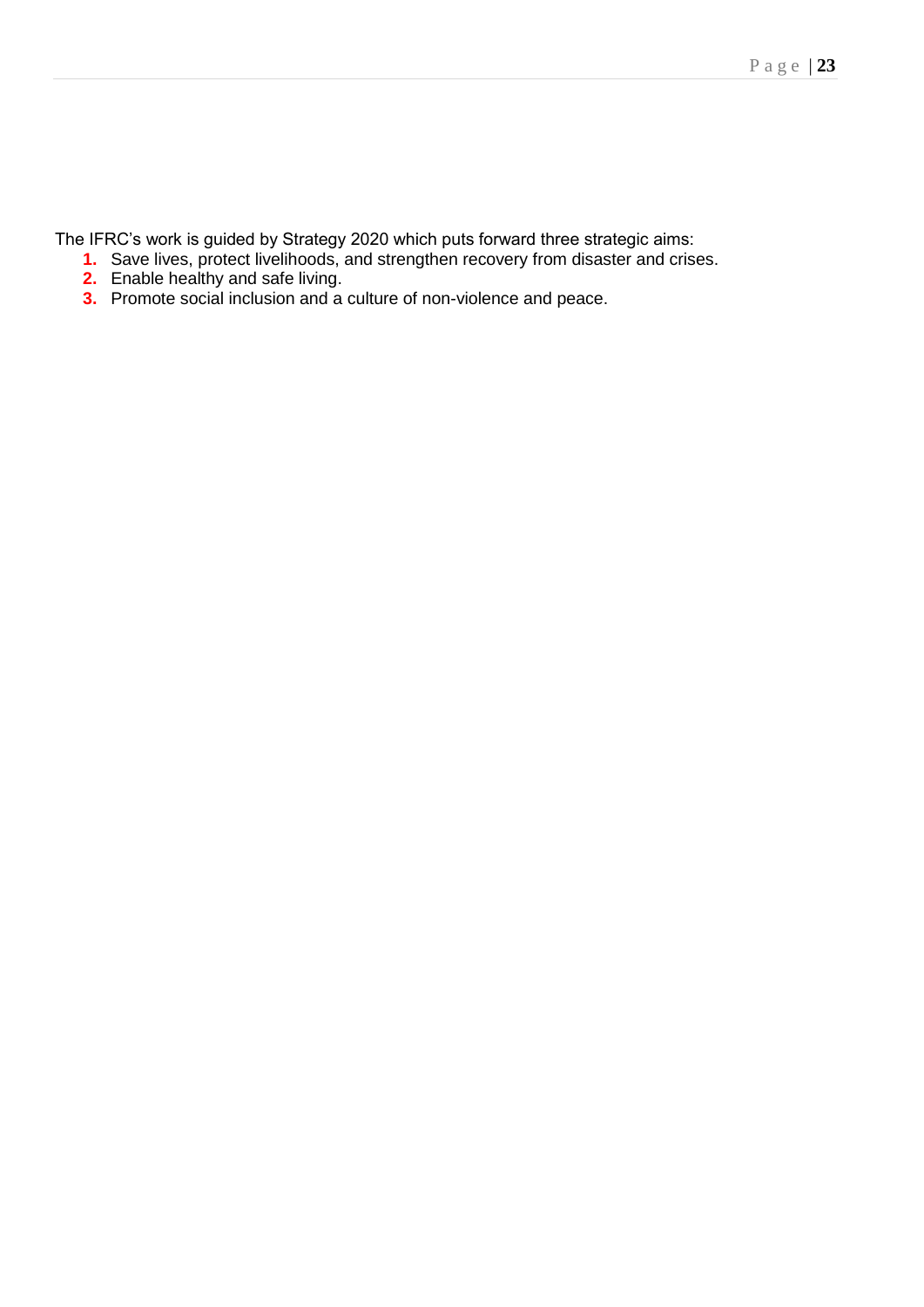The IFRC's work is guided by Strategy 2020 which puts forward three strategic aims:

- **1.** Save lives, protect livelihoods, and strengthen recovery from disaster and crises.
- **2.** Enable healthy and safe living.
- **3.** Promote social inclusion and a culture of non-violence and peace.